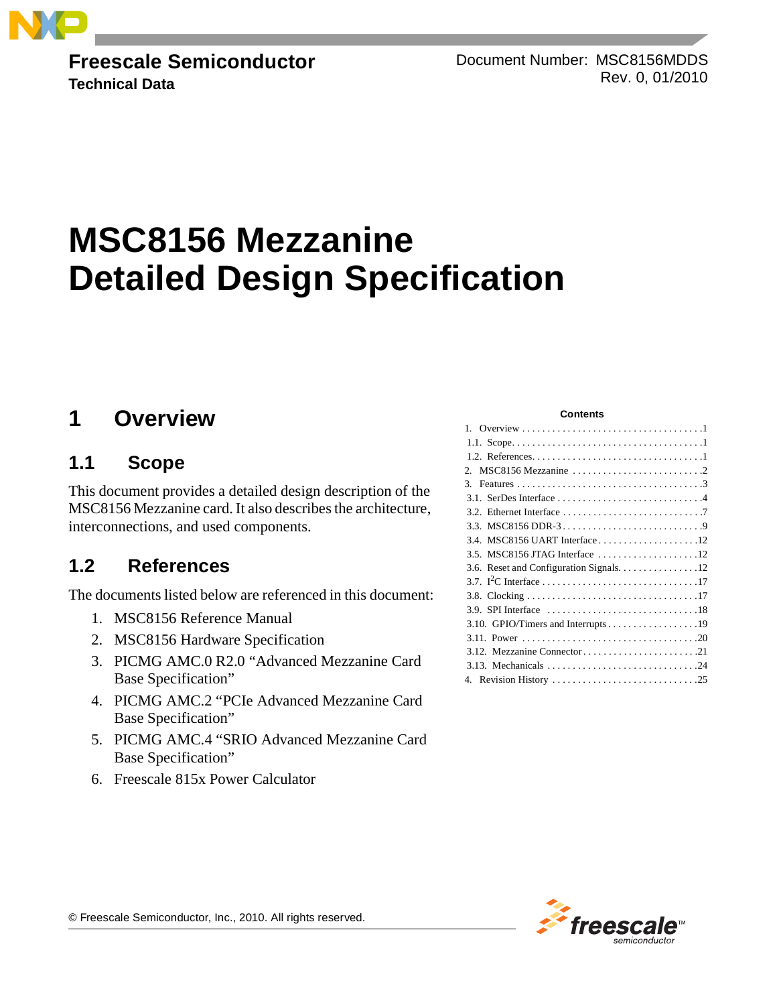

**Freescale Semiconductor Technical Data**

Document Number: MSC8156MDDS Rev. 0, 01/2010

# **MSC8156 Mezzanine Detailed Design Specification**

## <span id="page-0-0"></span>**1 Overview**

## <span id="page-0-1"></span>**1.1 Scope**

This document provides a detailed design description of the MSC8156 Mezzanine card. It also describes the architecture, interconnections, and used components.

## <span id="page-0-2"></span>**1.2 References**

The documents listed below are referenced in this document:

- 1. MSC8156 Reference Manual
- 2. MSC8156 Hardware Specification
- 3. PICMG AMC.0 R2.0 "Advanced Mezzanine Card Base Specification"
- 4. PICMG AMC.2 "PCIe Advanced Mezzanine Card Base Specification"
- 5. PICMG AMC.4 "SRIO Advanced Mezzanine Card Base Specification"
- 6. Freescale 815x Power Calculator

#### **Contents**

| MSC8156 Mezzanine $\ldots \ldots \ldots \ldots \ldots \ldots \ldots \ldots$<br>$\mathcal{P}$ |
|----------------------------------------------------------------------------------------------|
| 3.                                                                                           |
|                                                                                              |
|                                                                                              |
|                                                                                              |
|                                                                                              |
|                                                                                              |
| 3.6. Reset and Configuration Signals. 12                                                     |
|                                                                                              |
|                                                                                              |
|                                                                                              |
|                                                                                              |
|                                                                                              |
|                                                                                              |
|                                                                                              |
|                                                                                              |



© Freescale Semiconductor, Inc., 2010. All rights reserved.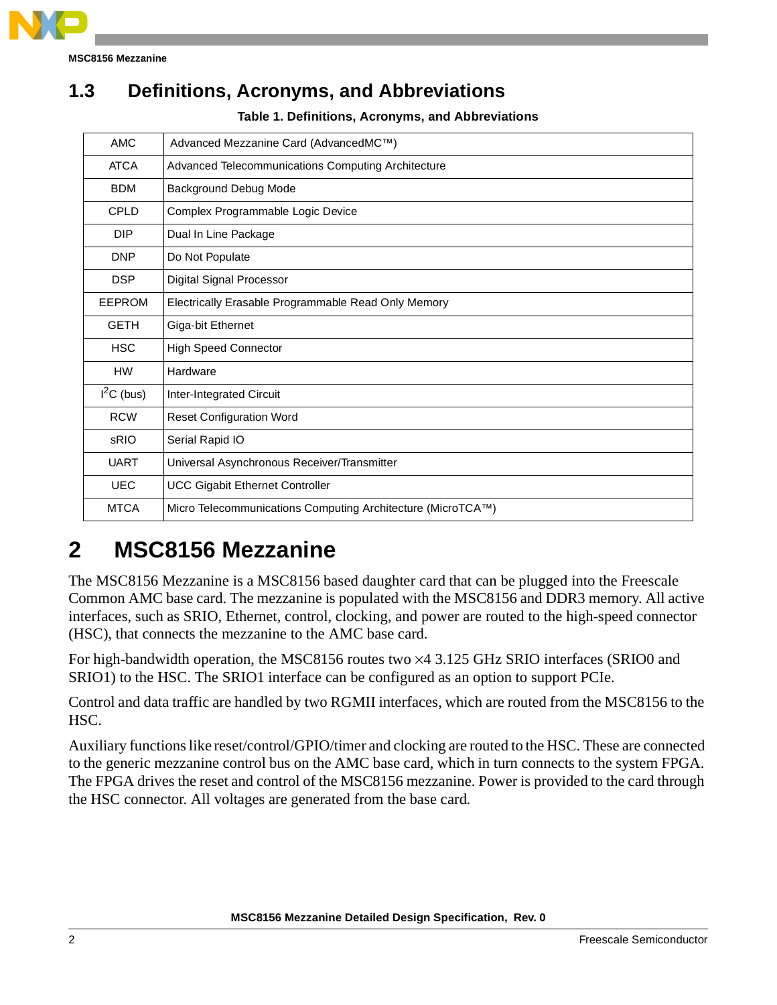

**MSC8156 Mezzanine**

## **1.3 Definitions, Acronyms, and Abbreviations**

**Table 1. Definitions, Acronyms, and Abbreviations**

| <b>AMC</b>    | Advanced Mezzanine Card (AdvancedMC™)                       |
|---------------|-------------------------------------------------------------|
| <b>ATCA</b>   | Advanced Telecommunications Computing Architecture          |
| <b>BDM</b>    | <b>Background Debug Mode</b>                                |
| <b>CPLD</b>   | Complex Programmable Logic Device                           |
| <b>DIP</b>    | Dual In Line Package                                        |
| <b>DNP</b>    | Do Not Populate                                             |
| <b>DSP</b>    | Digital Signal Processor                                    |
| <b>EEPROM</b> | Electrically Erasable Programmable Read Only Memory         |
| <b>GETH</b>   | Giga-bit Ethernet                                           |
| <b>HSC</b>    | <b>High Speed Connector</b>                                 |
| <b>HW</b>     | Hardware                                                    |
| $I2C$ (bus)   | Inter-Integrated Circuit                                    |
| <b>RCW</b>    | <b>Reset Configuration Word</b>                             |
| sRIO          | Serial Rapid IO                                             |
| <b>UART</b>   | Universal Asynchronous Receiver/Transmitter                 |
| <b>UEC</b>    | <b>UCC Gigabit Ethernet Controller</b>                      |
| <b>MTCA</b>   | Micro Telecommunications Computing Architecture (MicroTCA™) |

## <span id="page-1-0"></span>**2 MSC8156 Mezzanine**

The MSC8156 Mezzanine is a MSC8156 based daughter card that can be plugged into the Freescale Common AMC base card. The mezzanine is populated with the MSC8156 and DDR3 memory. All active interfaces, such as SRIO, Ethernet, control, clocking, and power are routed to the high-speed connector (HSC), that connects the mezzanine to the AMC base card.

For high-bandwidth operation, the MSC8156 routes two ×4 3.125 GHz SRIO interfaces (SRIO0 and SRIO1) to the HSC. The SRIO1 interface can be configured as an option to support PCIe.

Control and data traffic are handled by two RGMII interfaces, which are routed from the MSC8156 to the HSC.

Auxiliary functions like reset/control/GPIO/timer and clocking are routed to the HSC. These are connected to the generic mezzanine control bus on the AMC base card, which in turn connects to the system FPGA. The FPGA drives the reset and control of the MSC8156 mezzanine. Power is provided to the card through the HSC connector. All voltages are generated from the base card.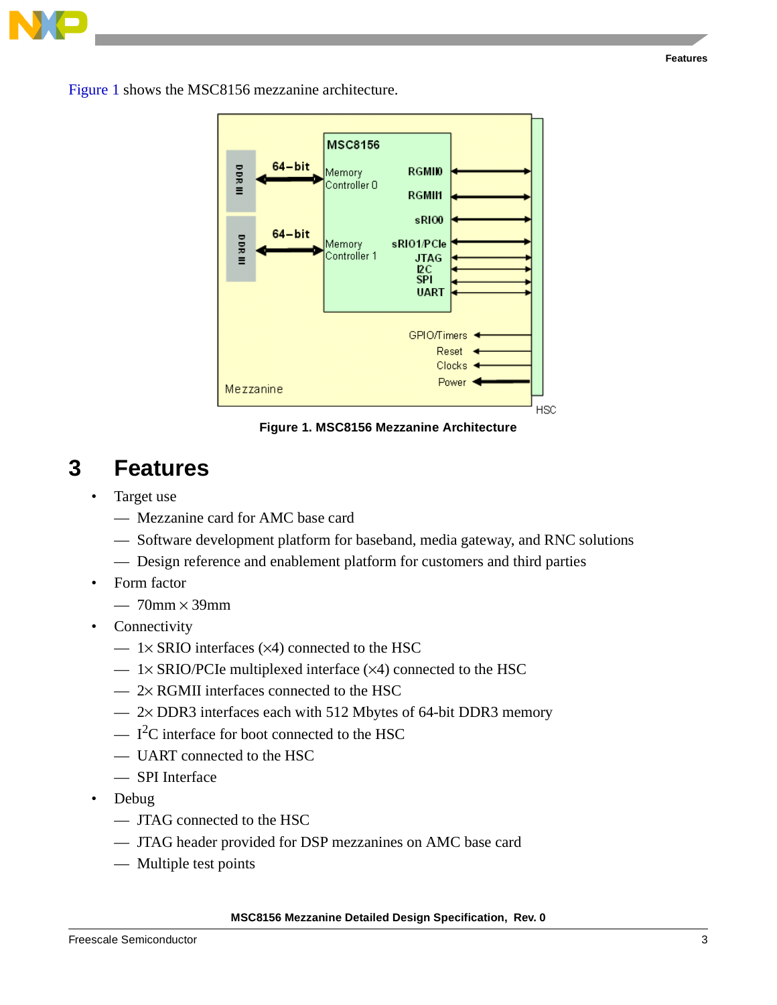

[Figure 1](#page-2-1) shows the MSC8156 mezzanine architecture.



**Figure 1. MSC8156 Mezzanine Architecture**

## <span id="page-2-1"></span><span id="page-2-0"></span>**3 Features**

- Target use
	- Mezzanine card for AMC base card
	- Software development platform for baseband, media gateway, and RNC solutions
	- Design reference and enablement platform for customers and third parties
- Form factor
	- $-70$ mm  $\times$  39mm
- Connectivity
	- $-$  1× SRIO interfaces ( $\times$ 4) connected to the HSC
	- $-$  1× SRIO/PCIe multiplexed interface ( $\times$ 4) connected to the HSC
	- $-2 \times$  RGMII interfaces connected to the HSC
	- 2× DDR3 interfaces each with 512 Mbytes of 64-bit DDR3 memory
	- $-$  I<sup>2</sup>C interface for boot connected to the HSC
	- UART connected to the HSC
	- SPI Interface
- Debug
	- JTAG connected to the HSC
	- JTAG header provided for DSP mezzanines on AMC base card
	- Multiple test points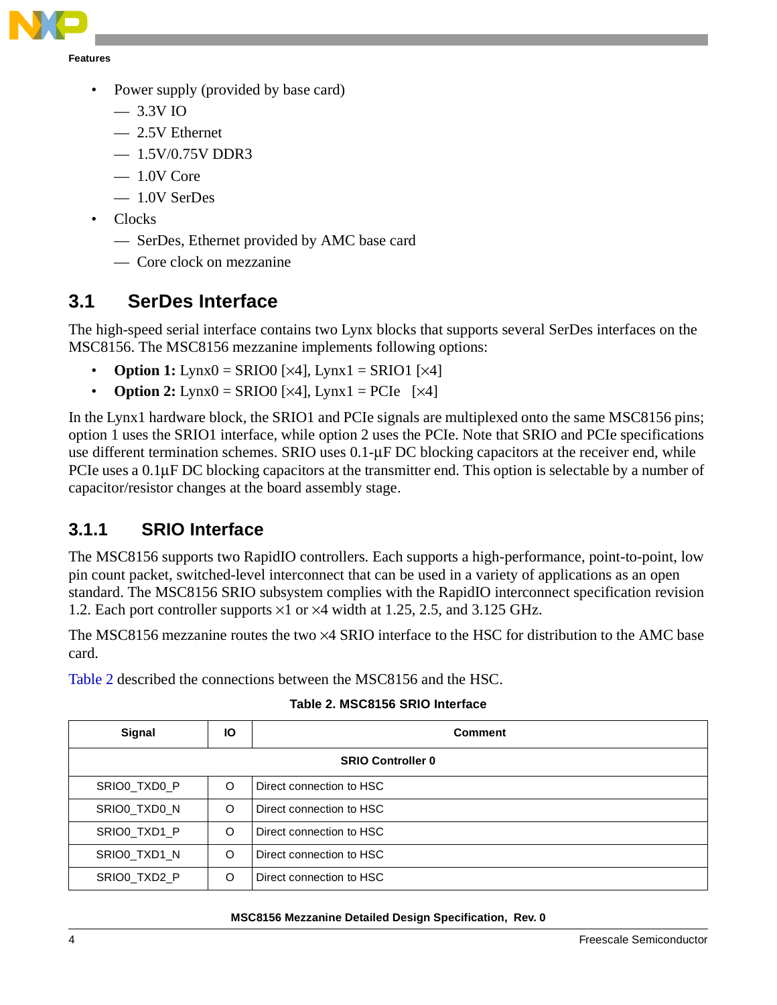

- Power supply (provided by base card)
	- 3.3V IO
	- 2.5V Ethernet
	- $-1.5V/0.75V$  DDR3
	- 1.0V Core
	- 1.0V SerDes
- Clocks
	- SerDes, Ethernet provided by AMC base card
	- Core clock on mezzanine

## <span id="page-3-0"></span>**3.1 SerDes Interface**

The high-speed serial interface contains two Lynx blocks that supports several SerDes interfaces on the MSC8156. The MSC8156 mezzanine implements following options:

- **Option 1:** Lynx $0 = SRIO0$  [ $\times 4$ ], Lynx $1 = SRIO1$  [ $\times 4$ ]
- **Option 2:** Lynx $0 = SRIO0$  [ $\times 4$ ], Lynx $1 = PCIe$  [ $\times 4$ ]

In the Lynx1 hardware block, the SRIO1 and PCIe signals are multiplexed onto the same MSC8156 pins; option 1 uses the SRIO1 interface, while option 2 uses the PCIe. Note that SRIO and PCIe specifications use different termination schemes. SRIO uses 0.1-μF DC blocking capacitors at the receiver end, while PCIe uses a 0.1μF DC blocking capacitors at the transmitter end. This option is selectable by a number of capacitor/resistor changes at the board assembly stage.

## **3.1.1 SRIO Interface**

The MSC8156 supports two RapidIO controllers. Each supports a high-performance, point-to-point, low pin count packet, switched-level interconnect that can be used in a variety of applications as an open standard. The MSC8156 SRIO subsystem complies with the RapidIO interconnect specification revision 1.2. Each port controller supports ×1 or ×4 width at 1.25, 2.5, and 3.125 GHz.

The MSC8156 mezzanine routes the two ×4 SRIO interface to the HSC for distribution to the AMC base card.

<span id="page-3-1"></span>[Table 2](#page-3-1) described the connections between the MSC8156 and the HSC.

| Signal                   | lО | <b>Comment</b>           |  |  |  |  |  |
|--------------------------|----|--------------------------|--|--|--|--|--|
| <b>SRIO Controller 0</b> |    |                          |  |  |  |  |  |
| SRIO0 TXD0 P             | O  | Direct connection to HSC |  |  |  |  |  |
| SRIO0 TXD0 N             | O  | Direct connection to HSC |  |  |  |  |  |
| SRIO0 TXD1 P             | O  | Direct connection to HSC |  |  |  |  |  |
| SRIO0 TXD1 N             | O  | Direct connection to HSC |  |  |  |  |  |
| SRIO0 TXD2 P             | O  | Direct connection to HSC |  |  |  |  |  |

#### **Table 2. MSC8156 SRIO Interface**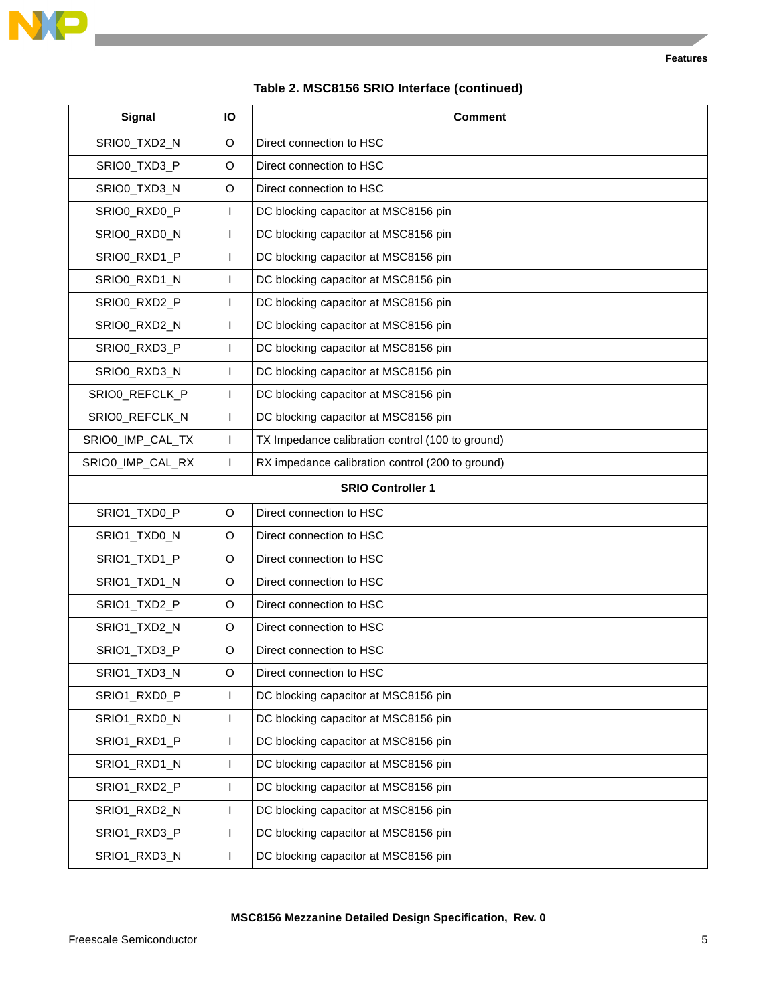

### **Table 2. MSC8156 SRIO Interface (continued)**

| <b>Signal</b>                                                             | Ю            | <b>Comment</b>                                   |  |  |  |
|---------------------------------------------------------------------------|--------------|--------------------------------------------------|--|--|--|
| SRIO0_TXD2_N                                                              | O            | Direct connection to HSC                         |  |  |  |
| SRIO0_TXD3_P                                                              | O            | Direct connection to HSC                         |  |  |  |
| SRIO0_TXD3_N                                                              | O            | Direct connection to HSC                         |  |  |  |
| SRIO0_RXD0_P                                                              | T            | DC blocking capacitor at MSC8156 pin             |  |  |  |
| SRIO0_RXD0_N                                                              | T            | DC blocking capacitor at MSC8156 pin             |  |  |  |
| SRIO0_RXD1_P                                                              | $\mathbf{I}$ | DC blocking capacitor at MSC8156 pin             |  |  |  |
| SRIO0_RXD1_N                                                              | T            | DC blocking capacitor at MSC8156 pin             |  |  |  |
| SRIO0_RXD2_P                                                              | T            | DC blocking capacitor at MSC8156 pin             |  |  |  |
| SRIO0_RXD2_N                                                              | T            | DC blocking capacitor at MSC8156 pin             |  |  |  |
| SRIO0_RXD3_P                                                              | T            | DC blocking capacitor at MSC8156 pin             |  |  |  |
| SRIO0_RXD3_N                                                              | T            | DC blocking capacitor at MSC8156 pin             |  |  |  |
| SRIO0_REFCLK_P                                                            | T            | DC blocking capacitor at MSC8156 pin             |  |  |  |
| SRIO0_REFCLK_N                                                            | I            | DC blocking capacitor at MSC8156 pin             |  |  |  |
| SRIO0_IMP_CAL_TX                                                          | T            | TX Impedance calibration control (100 to ground) |  |  |  |
| SRIO0_IMP_CAL_RX<br>RX impedance calibration control (200 to ground)<br>T |              |                                                  |  |  |  |
| <b>SRIO Controller 1</b>                                                  |              |                                                  |  |  |  |
| SRIO1_TXD0_P                                                              | O            | Direct connection to HSC                         |  |  |  |
| SRIO1_TXD0_N                                                              | O            | Direct connection to HSC                         |  |  |  |
| SRIO1_TXD1_P                                                              | O            | Direct connection to HSC                         |  |  |  |
| SRIO1_TXD1_N                                                              | O            | Direct connection to HSC                         |  |  |  |
| SRIO1_TXD2_P                                                              | O            | Direct connection to HSC                         |  |  |  |
| SRIO1_TXD2_N                                                              | O            | Direct connection to HSC                         |  |  |  |
| SRIO1_TXD3_P                                                              | O            | Direct connection to HSC                         |  |  |  |
| SRIO1_TXD3_N                                                              | O            | Direct connection to HSC                         |  |  |  |
| SRIO1_RXD0_P                                                              | $\mathbf{I}$ | DC blocking capacitor at MSC8156 pin             |  |  |  |
| SRIO1_RXD0_N                                                              | $\mathbf{I}$ | DC blocking capacitor at MSC8156 pin             |  |  |  |
| SRIO1_RXD1_P                                                              | $\mathbf{I}$ | DC blocking capacitor at MSC8156 pin             |  |  |  |
| SRIO1_RXD1_N                                                              | $\mathbf{I}$ | DC blocking capacitor at MSC8156 pin             |  |  |  |
| SRIO1_RXD2_P                                                              | $\mathbf{I}$ | DC blocking capacitor at MSC8156 pin             |  |  |  |
| SRIO1_RXD2_N                                                              | $\mathbf{I}$ | DC blocking capacitor at MSC8156 pin             |  |  |  |
| SRIO1_RXD3_P                                                              | $\mathbf{I}$ | DC blocking capacitor at MSC8156 pin             |  |  |  |
| SRIO1_RXD3_N                                                              | T            | DC blocking capacitor at MSC8156 pin             |  |  |  |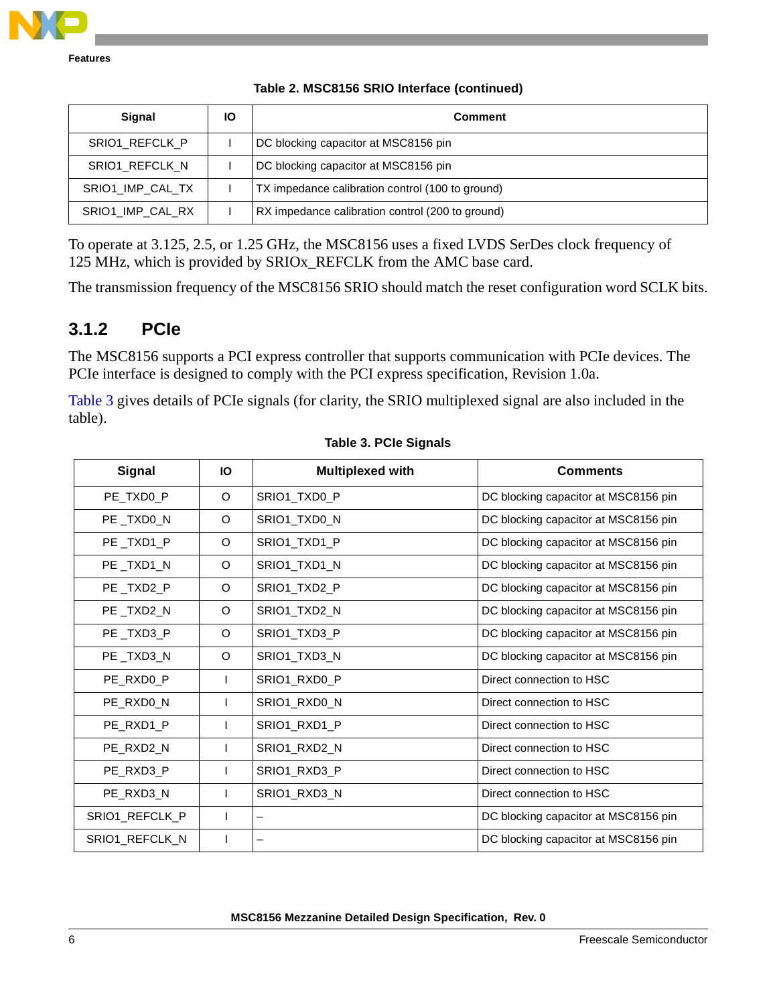

|  |  |  |  | Table 2. MSC8156 SRIO Interface (continued) |
|--|--|--|--|---------------------------------------------|
|--|--|--|--|---------------------------------------------|

| <b>Signal</b>    | IО | <b>Comment</b>                                   |
|------------------|----|--------------------------------------------------|
| SRIO1 REFCLK P   |    | DC blocking capacitor at MSC8156 pin             |
| SRIO1 REFCLK N   |    | DC blocking capacitor at MSC8156 pin             |
| SRIO1 IMP CAL TX |    | TX impedance calibration control (100 to ground) |
| SRIO1 IMP CAL RX |    | RX impedance calibration control (200 to ground) |

To operate at 3.125, 2.5, or 1.25 GHz, the MSC8156 uses a fixed LVDS SerDes clock frequency of 125 MHz, which is provided by SRIOx\_REFCLK from the AMC base card.

The transmission frequency of the MSC8156 SRIO should match the reset configuration word SCLK bits.

## **3.1.2 PCIe**

The MSC8156 supports a PCI express controller that supports communication with PCIe devices. The PCIe interface is designed to comply with the PCI express specification, Revision 1.0a.

[Table 3](#page-5-0) gives details of PCIe signals (for clarity, the SRIO multiplexed signal are also included in the table).

<span id="page-5-0"></span>

| Signal         | Ю  | <b>Multiplexed with</b> | <b>Comments</b>                      |
|----------------|----|-------------------------|--------------------------------------|
| PE_TXD0_P      | O  | SRIO1_TXD0_P            | DC blocking capacitor at MSC8156 pin |
| PE_TXD0_N      | O  | SRIO1_TXD0_N            | DC blocking capacitor at MSC8156 pin |
| PE_TXD1_P      | O  | SRIO1_TXD1_P            | DC blocking capacitor at MSC8156 pin |
| PE_TXD1_N      | O  | SRIO1_TXD1_N            | DC blocking capacitor at MSC8156 pin |
| PE_TXD2_P      | O  | SRIO1_TXD2_P            | DC blocking capacitor at MSC8156 pin |
| PE_TXD2_N      | O  | SRIO1_TXD2_N            | DC blocking capacitor at MSC8156 pin |
| PE_TXD3_P      | O  | SRIO1_TXD3_P            | DC blocking capacitor at MSC8156 pin |
| PE TXD3 N      | O  | SRIO1 TXD3 N            | DC blocking capacitor at MSC8156 pin |
| PE_RXD0_P      | L  | SRIO1_RXD0_P            | Direct connection to HSC             |
| PE_RXD0_N      | I. | SRIO1_RXD0_N            | Direct connection to HSC             |
| PE_RXD1_P      |    | SRIO1_RXD1_P            | Direct connection to HSC             |
| PE_RXD2_N      | I. | SRIO1_RXD2_N            | Direct connection to HSC             |
| PE_RXD3_P      | L  | SRIO1_RXD3_P            | Direct connection to HSC             |
| PE_RXD3_N      | L  | SRIO1_RXD3_N            | Direct connection to HSC             |
| SRIO1_REFCLK_P |    | —                       | DC blocking capacitor at MSC8156 pin |
| SRIO1_REFCLK_N |    |                         | DC blocking capacitor at MSC8156 pin |

#### **Table 3. PCIe Signals**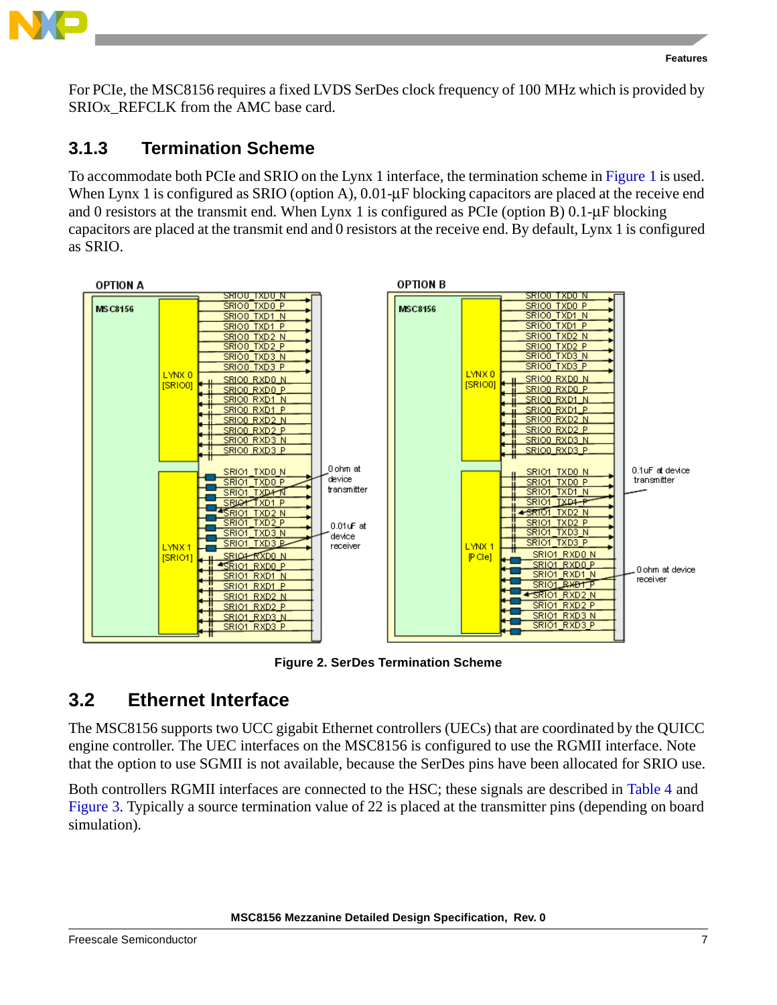

For PCIe, the MSC8156 requires a fixed LVDS SerDes clock frequency of 100 MHz which is provided by SRIOX REFCLK from the AMC base card.

## **3.1.3 Termination Scheme**

To accommodate both PCIe and SRIO on the Lynx 1 interface, the termination scheme in [Figure 1](#page-2-1) is used. When Lynx 1 is configured as SRIO (option A), 0.01-μF blocking capacitors are placed at the receive end and 0 resistors at the transmit end. When Lynx 1 is configured as PCIe (option B)  $0.1-\mu$ F blocking capacitors are placed at the transmit end and 0 resistors at the receive end. By default, Lynx 1 is configured as SRIO.



**Figure 2. SerDes Termination Scheme**

## <span id="page-6-0"></span>**3.2 Ethernet Interface**

The MSC8156 supports two UCC gigabit Ethernet controllers (UECs) that are coordinated by the QUICC engine controller. The UEC interfaces on the MSC8156 is configured to use the RGMII interface. Note that the option to use SGMII is not available, because the SerDes pins have been allocated for SRIO use.

Both controllers RGMII interfaces are connected to the HSC; these signals are described in [Table 4](#page-7-0) and [Figure 3](#page-8-1). Typically a source termination value of 22 is placed at the transmitter pins (depending on board simulation).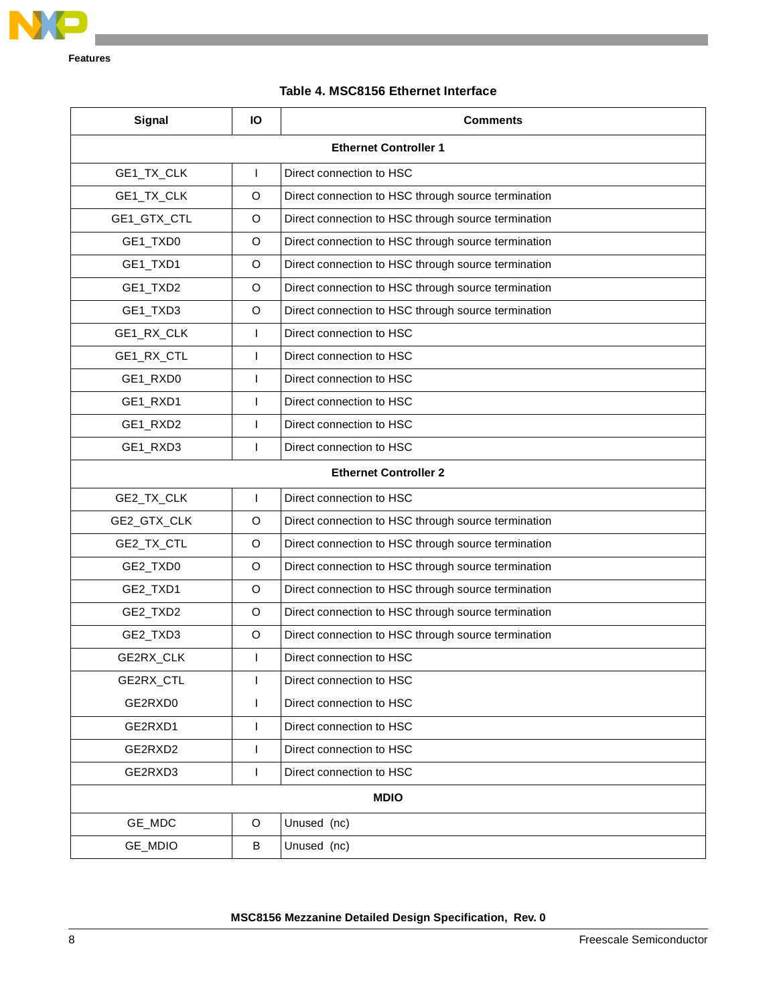

#### **Table 4. MSC8156 Ethernet Interface**

<span id="page-7-0"></span>

| Signal                                               | Ю            | <b>Comments</b>                                     |  |  |  |  |
|------------------------------------------------------|--------------|-----------------------------------------------------|--|--|--|--|
| <b>Ethernet Controller 1</b>                         |              |                                                     |  |  |  |  |
| GE1_TX_CLK                                           | $\mathsf{I}$ | Direct connection to HSC                            |  |  |  |  |
| GE1_TX_CLK                                           | $\circ$      | Direct connection to HSC through source termination |  |  |  |  |
| GE1_GTX_CTL                                          | $\circ$      | Direct connection to HSC through source termination |  |  |  |  |
| GE1_TXD0                                             | $\circ$      | Direct connection to HSC through source termination |  |  |  |  |
| GE1_TXD1                                             | $\circ$      | Direct connection to HSC through source termination |  |  |  |  |
| GE1_TXD2                                             | $\circ$      | Direct connection to HSC through source termination |  |  |  |  |
| GE1_TXD3                                             | $\circ$      | Direct connection to HSC through source termination |  |  |  |  |
| GE1_RX_CLK                                           | $\mathsf{I}$ | Direct connection to HSC                            |  |  |  |  |
| GE1_RX_CTL                                           | $\mathsf{I}$ | Direct connection to HSC                            |  |  |  |  |
| GE1_RXD0                                             | $\mathsf{I}$ | Direct connection to HSC                            |  |  |  |  |
| GE1_RXD1                                             | $\mathsf{I}$ | Direct connection to HSC                            |  |  |  |  |
| GE1_RXD2                                             | $\mathsf{I}$ | Direct connection to HSC                            |  |  |  |  |
| GE1_RXD3<br>$\mathsf{I}$<br>Direct connection to HSC |              |                                                     |  |  |  |  |
|                                                      |              | <b>Ethernet Controller 2</b>                        |  |  |  |  |
| GE2_TX_CLK                                           | $\mathsf{I}$ | Direct connection to HSC                            |  |  |  |  |
| GE2_GTX_CLK                                          | O            | Direct connection to HSC through source termination |  |  |  |  |
| GE2_TX_CTL                                           | O            | Direct connection to HSC through source termination |  |  |  |  |
| GE2_TXD0                                             | O            | Direct connection to HSC through source termination |  |  |  |  |
| GE2_TXD1                                             | O            | Direct connection to HSC through source termination |  |  |  |  |
| GE2_TXD2                                             | O            | Direct connection to HSC through source termination |  |  |  |  |
| GE2_TXD3                                             | O            | Direct connection to HSC through source termination |  |  |  |  |
| GE2RX_CLK                                            | $\mathbf{I}$ | Direct connection to HSC                            |  |  |  |  |
| GE2RX_CTL                                            | $\mathbf{I}$ | Direct connection to HSC                            |  |  |  |  |
| GE2RXD0                                              | $\mathsf{I}$ | Direct connection to HSC                            |  |  |  |  |
| GE2RXD1                                              | $\mathbf{I}$ | Direct connection to HSC                            |  |  |  |  |
| GE2RXD2                                              | $\mathbf{I}$ | Direct connection to HSC                            |  |  |  |  |
| GE2RXD3                                              | $\mathbf{I}$ | Direct connection to HSC                            |  |  |  |  |
|                                                      |              | <b>MDIO</b>                                         |  |  |  |  |
| GE_MDC                                               | O            | Unused (nc)                                         |  |  |  |  |
| GE_MDIO                                              | B            | Unused (nc)                                         |  |  |  |  |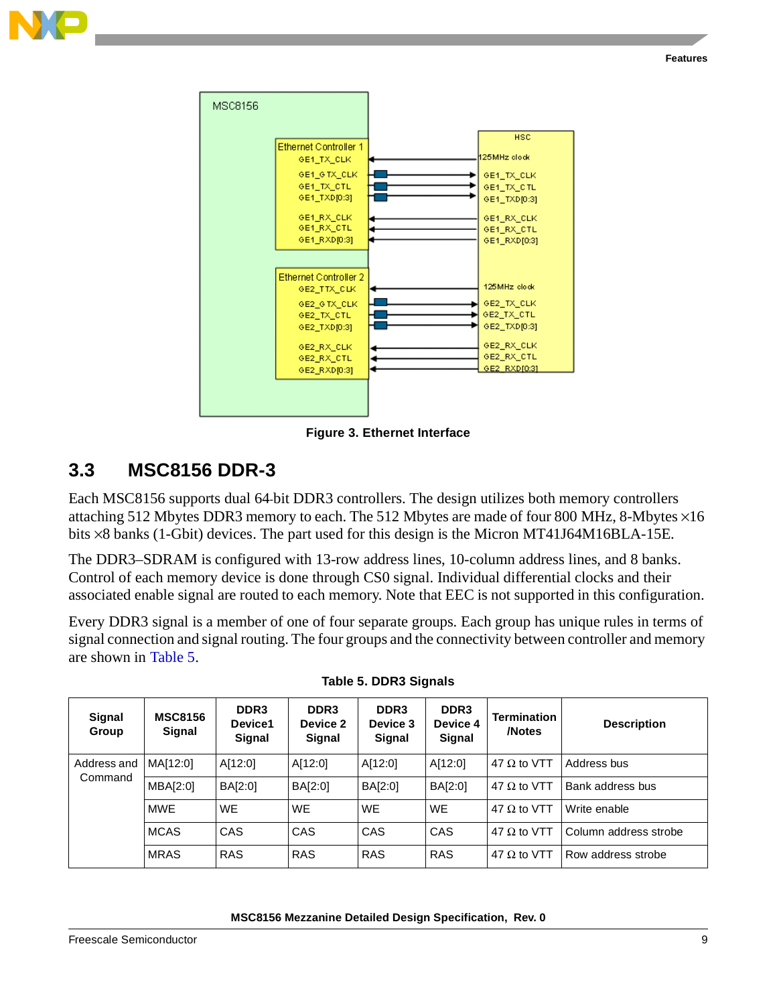



**Figure 3. Ethernet Interface**

## <span id="page-8-1"></span><span id="page-8-0"></span>**3.3 MSC8156 DDR-3**

Each MSC8156 supports dual 64-bit DDR3 controllers. The design utilizes both memory controllers attaching 512 Mbytes DDR3 memory to each. The 512 Mbytes are made of four 800 MHz, 8-Mbytes ×16 bits ×8 banks (1-Gbit) devices. The part used for this design is the Micron MT41J64M16BLA-15E.

The DDR3–SDRAM is configured with 13-row address lines, 10-column address lines, and 8 banks. Control of each memory device is done through CS0 signal. Individual differential clocks and their associated enable signal are routed to each memory. Note that EEC is not supported in this configuration.

Every DDR3 signal is a member of one of four separate groups. Each group has unique rules in terms of signal connection and signal routing. The four groups and the connectivity between controller and memory are shown in [Table 5.](#page-8-2)

<span id="page-8-2"></span>

| Signal<br>Group        | <b>MSC8156</b><br>Signal | DDR <sub>3</sub><br>Device1<br>Signal | DDR <sub>3</sub><br>Device 2<br>Signal | DDR <sub>3</sub><br>Device 3<br>Signal | DDR <sub>3</sub><br>Device 4<br>Signal | <b>Termination</b><br>/Notes | <b>Description</b>    |
|------------------------|--------------------------|---------------------------------------|----------------------------------------|----------------------------------------|----------------------------------------|------------------------------|-----------------------|
| Address and<br>Command | MA[12:0]                 | A[12:0]                               | A[12:0]                                | A[12:0]                                | A[12:0]                                | 47 $\Omega$ to VTT           | Address bus           |
|                        | MBA[2:0]                 | BA[2:0]                               | BA[2:0]                                | BA[2:0]                                | BA[2:0]                                | 47 $\Omega$ to VTT           | Bank address bus      |
|                        | <b>MWE</b>               | WE                                    | <b>WE</b>                              | <b>WE</b>                              | <b>WE</b>                              | 47 $\Omega$ to VTT           | Write enable          |
|                        | <b>MCAS</b>              | CAS                                   | CAS                                    | <b>CAS</b>                             | CAS                                    | 47 $\Omega$ to VTT           | Column address strobe |
|                        | <b>MRAS</b>              | <b>RAS</b>                            | <b>RAS</b>                             | <b>RAS</b>                             | <b>RAS</b>                             | 47 $\Omega$ to VTT           | Row address strobe    |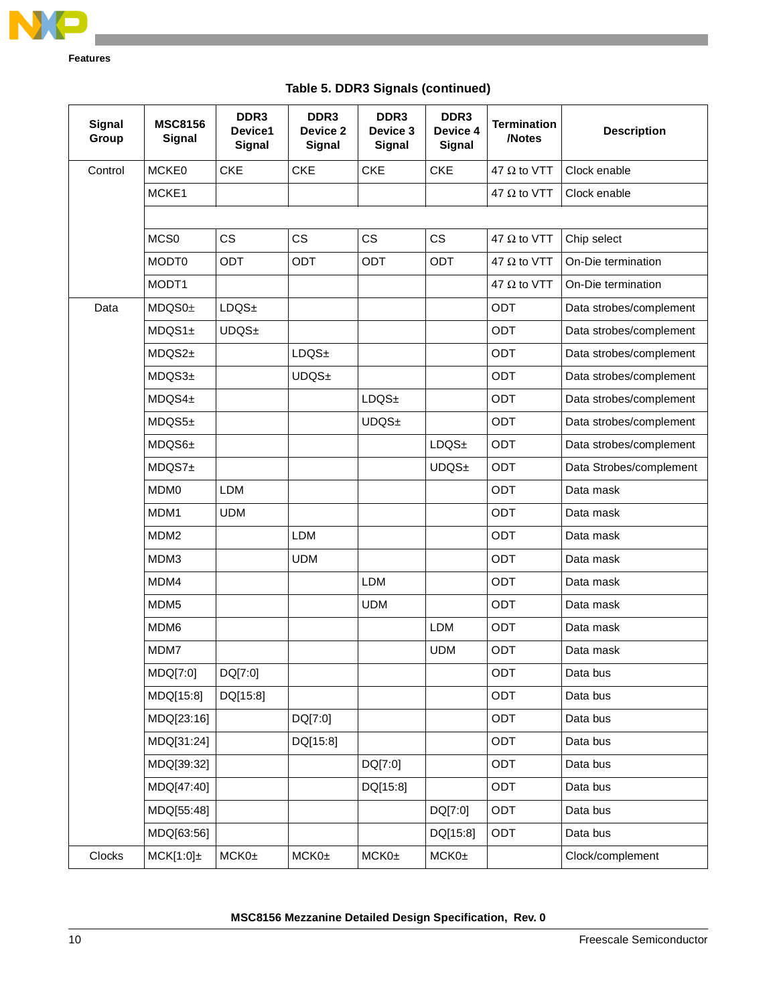

| <b>Signal</b><br>Group | <b>MSC8156</b><br><b>Signal</b> | DDR <sub>3</sub><br>Device1<br><b>Signal</b> | DDR3<br>Device 2<br><b>Signal</b> | DDR <sub>3</sub><br>Device 3<br>Signal | DDR <sub>3</sub><br>Device 4<br>Signal | <b>Termination</b><br>/Notes | <b>Description</b>      |
|------------------------|---------------------------------|----------------------------------------------|-----------------------------------|----------------------------------------|----------------------------------------|------------------------------|-------------------------|
| Control                | <b>MCKE0</b>                    | <b>CKE</b>                                   | <b>CKE</b>                        | <b>CKE</b>                             | <b>CKE</b>                             | 47 $\Omega$ to VTT           | Clock enable            |
|                        | MCKE1                           |                                              |                                   |                                        |                                        | 47 $\Omega$ to VTT           | Clock enable            |
|                        |                                 |                                              |                                   |                                        |                                        |                              |                         |
|                        | MCS <sub>0</sub>                | <b>CS</b>                                    | CS                                | <b>CS</b>                              | CS                                     | 47 $\Omega$ to VTT           | Chip select             |
|                        | MODT0                           | <b>ODT</b>                                   | <b>ODT</b>                        | <b>ODT</b>                             | <b>ODT</b>                             | 47 $\Omega$ to VTT           | On-Die termination      |
|                        | MODT1                           |                                              |                                   |                                        |                                        | 47 $\Omega$ to VTT           | On-Die termination      |
| Data                   | MDQSO <sub>±</sub>              | LDQS <sub>±</sub>                            |                                   |                                        |                                        | ODT                          | Data strobes/complement |
|                        | MDQS1 <sub>±</sub>              | UDQS±                                        |                                   |                                        |                                        | <b>ODT</b>                   | Data strobes/complement |
|                        | MDQS2 <sub>±</sub>              |                                              | LDQS <sub>±</sub>                 |                                        |                                        | ODT                          | Data strobes/complement |
|                        | MDQS3 <sub>±</sub>              |                                              | UDQS±                             |                                        |                                        | ODT                          | Data strobes/complement |
|                        | MDQS4 <sub>±</sub>              |                                              |                                   | LDQS <sub>±</sub>                      |                                        | ODT                          | Data strobes/complement |
|                        | $MDQS5+$                        |                                              |                                   | UDQS±                                  |                                        | <b>ODT</b>                   | Data strobes/complement |
|                        | $MDQS6\pm$                      |                                              |                                   |                                        | LDQS <sub>±</sub>                      | ODT                          | Data strobes/complement |
|                        | MDQST <sub>±</sub>              |                                              |                                   |                                        | UDQS <sub>±</sub>                      | ODT                          | Data Strobes/complement |
|                        | MDM <sub>0</sub>                | LDM                                          |                                   |                                        |                                        | ODT                          | Data mask               |
|                        | MDM1                            | <b>UDM</b>                                   |                                   |                                        |                                        | <b>ODT</b>                   | Data mask               |
|                        | MDM <sub>2</sub>                |                                              | <b>LDM</b>                        |                                        |                                        | ODT                          | Data mask               |
|                        | MDM3                            |                                              | <b>UDM</b>                        |                                        |                                        | ODT                          | Data mask               |
|                        | MDM4                            |                                              |                                   | <b>LDM</b>                             |                                        | ODT                          | Data mask               |
|                        | MDM <sub>5</sub>                |                                              |                                   | <b>UDM</b>                             |                                        | ODT                          | Data mask               |
|                        | MDM6                            |                                              |                                   |                                        | <b>LDM</b>                             | ODT                          | Data mask               |
|                        | MDM7                            |                                              |                                   |                                        | <b>UDM</b>                             | ODT                          | Data mask               |
|                        | MDQ[7:0]                        | DQ[7:0]                                      |                                   |                                        |                                        | ODT                          | Data bus                |
|                        | MDQ[15:8]                       | DQ[15:8]                                     |                                   |                                        |                                        | ODT                          | Data bus                |
|                        | MDQ[23:16]                      |                                              | DQ[7:0]                           |                                        |                                        | ODT                          | Data bus                |
|                        | MDQ[31:24]                      |                                              | DQ[15:8]                          |                                        |                                        | <b>ODT</b>                   | Data bus                |
|                        | MDQ[39:32]                      |                                              |                                   | DQ[7:0]                                |                                        | <b>ODT</b>                   | Data bus                |
|                        | MDQ[47:40]                      |                                              |                                   | DQ[15:8]                               |                                        | ODT                          | Data bus                |
|                        | MDQ[55:48]                      |                                              |                                   |                                        | DQ[7:0]                                | <b>ODT</b>                   | Data bus                |
|                        | MDQ[63:56]                      |                                              |                                   |                                        | DQ[15:8]                               | <b>ODT</b>                   | Data bus                |
| Clocks                 | $MCK[1:0] \pm$                  | MCKO <sub>±</sub>                            | MCKO <sub>±</sub>                 | MCKO <sub>±</sub>                      | MCKO <sub>±</sub>                      |                              | Clock/complement        |

**Table 5. DDR3 Signals (continued)**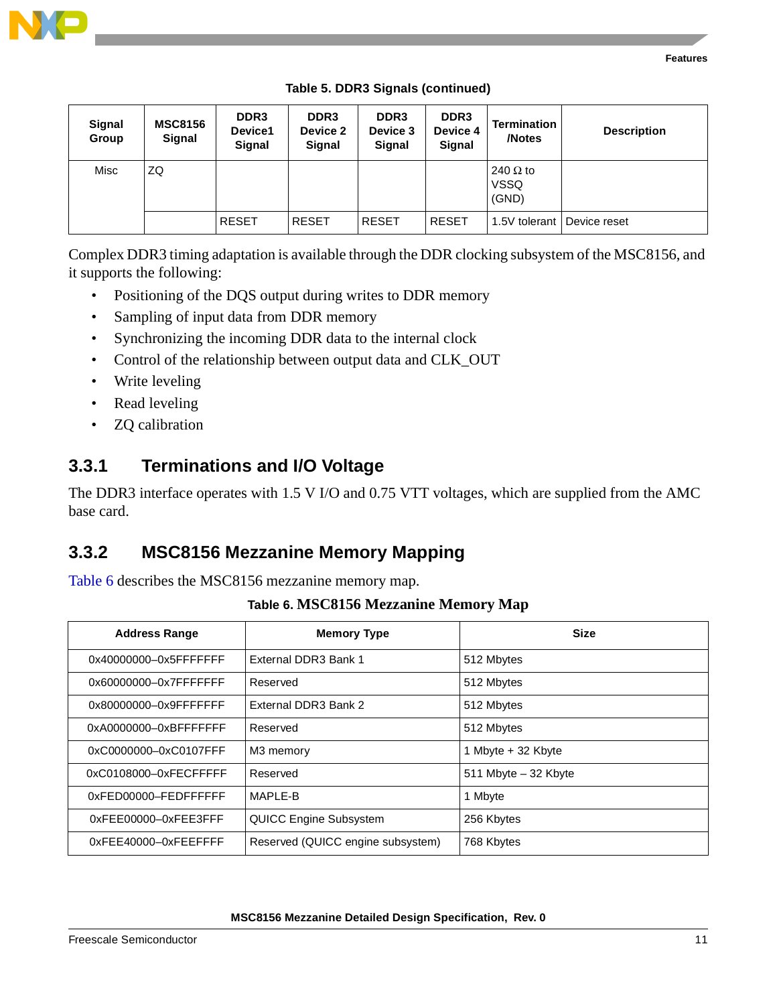

| Signal<br>Group | <b>MSC8156</b><br>Signal | DDR <sub>3</sub><br>Device1<br><b>Signal</b> | DDR <sub>3</sub><br>Device 2<br><b>Signal</b> | DDR <sub>3</sub><br>Device 3<br><b>Signal</b> | DDR <sub>3</sub><br>Device 4<br><b>Signal</b> | Termination<br>/Notes                   | <b>Description</b> |
|-----------------|--------------------------|----------------------------------------------|-----------------------------------------------|-----------------------------------------------|-----------------------------------------------|-----------------------------------------|--------------------|
| Misc            | ZQ                       |                                              |                                               |                                               |                                               | 240 $\Omega$ to<br><b>VSSQ</b><br>(GND) |                    |
|                 |                          | <b>RESET</b>                                 | <b>RESET</b>                                  | <b>RESET</b>                                  | <b>RESET</b>                                  | 1.5V tolerant                           | Device reset       |

**Table 5. DDR3 Signals (continued)**

Complex DDR3 timing adaptation is available through the DDR clocking subsystem of the MSC8156, and it supports the following:

- Positioning of the DQS output during writes to DDR memory
- Sampling of input data from DDR memory
- Synchronizing the incoming DDR data to the internal clock
- Control of the relationship between output data and CLK\_OUT
- Write leveling
- Read leveling
- **ZQ** calibration

## **3.3.1 Terminations and I/O Voltage**

The DDR3 interface operates with 1.5 V I/O and 0.75 VTT voltages, which are supplied from the AMC base card.

## **3.3.2 MSC8156 Mezzanine Memory Mapping**

<span id="page-10-0"></span>[Table 6](#page-10-0) describes the MSC8156 mezzanine memory map.

|  |  |  | Table 6. MSC8156 Mezzanine Memory Map |
|--|--|--|---------------------------------------|
|--|--|--|---------------------------------------|

| <b>Address Range</b>  | <b>Memory Type</b>                | <b>Size</b>             |
|-----------------------|-----------------------------------|-------------------------|
| 0x40000000-0x5FFFFFFF | External DDR3 Bank 1              | 512 Mbytes              |
| 0x60000000-0x7FFFFFFF | Reserved                          | 512 Mbytes              |
| 0x80000000-0x9FFFFFFF | External DDR3 Bank 2              | 512 Mbytes              |
| 0xA0000000-0xBFFFFFFF | Reserved                          | 512 Mbytes              |
| 0xC0000000-0xC0107FFF | M3 memory                         | 1 Mbyte + 32 Kbyte      |
| 0xC0108000-0xFECFFFFF | Reserved                          | $511$ Mbyte $-32$ Kbyte |
| 0xFED00000-FEDFFFFFF  | MAPI F-B                          | 1 Mbyte                 |
| 0xFEE00000-0xFEE3FFF  | QUICC Engine Subsystem            | 256 Kbytes              |
| 0xFEE40000-0xFEEFFFF  | Reserved (QUICC engine subsystem) | 768 Kbytes              |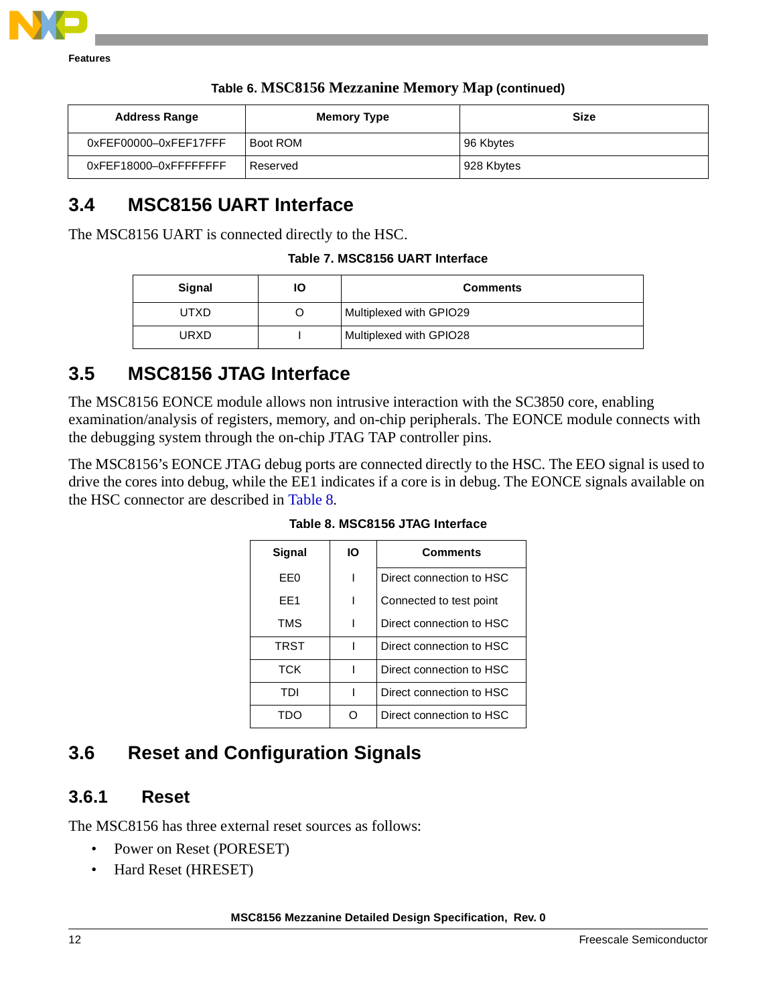

| <b>Address Range</b>  | <b>Memory Type</b> | <b>Size</b> |
|-----------------------|--------------------|-------------|
| 0xFEF00000-0xFEF17FFF | Boot ROM           | 96 Kbytes   |
| 0xFEF18000-0xFFFFFFFF | Reserved           | 928 Kbytes  |

#### **Table 6. MSC8156 Mezzanine Memory Map (continued)**

## <span id="page-11-0"></span>**3.4 MSC8156 UART Interface**

The MSC8156 UART is connected directly to the HSC.

**Table 7. MSC8156 UART Interface**

| Signal | ΙO | <b>Comments</b>         |
|--------|----|-------------------------|
| UTXD   |    | Multiplexed with GPIO29 |
| URXD   |    | Multiplexed with GPIO28 |

## <span id="page-11-1"></span>**3.5 MSC8156 JTAG Interface**

The MSC8156 EONCE module allows non intrusive interaction with the SC3850 core, enabling examination/analysis of registers, memory, and on-chip peripherals. The EONCE module connects with the debugging system through the on-chip JTAG TAP controller pins.

<span id="page-11-3"></span>The MSC8156's EONCE JTAG debug ports are connected directly to the HSC. The EEO signal is used to drive the cores into debug, while the EE1 indicates if a core is in debug. The EONCE signals available on the HSC connector are described in [Table 8.](#page-11-3)

| Signal      | ΙO | <b>Comments</b>          |
|-------------|----|--------------------------|
| EE0         |    | Direct connection to HSC |
| FF1         |    | Connected to test point  |
| <b>TMS</b>  |    | Direct connection to HSC |
| <b>TRST</b> |    | Direct connection to HSC |
| тск         |    | Direct connection to HSC |
| TDI         |    | Direct connection to HSC |
|             |    | Direct connection to HSC |

**Table 8. MSC8156 JTAG Interface**

## <span id="page-11-2"></span>**3.6 Reset and Configuration Signals**

### **3.6.1 Reset**

The MSC8156 has three external reset sources as follows:

- Power on Reset (PORESET)
- Hard Reset (HRESET)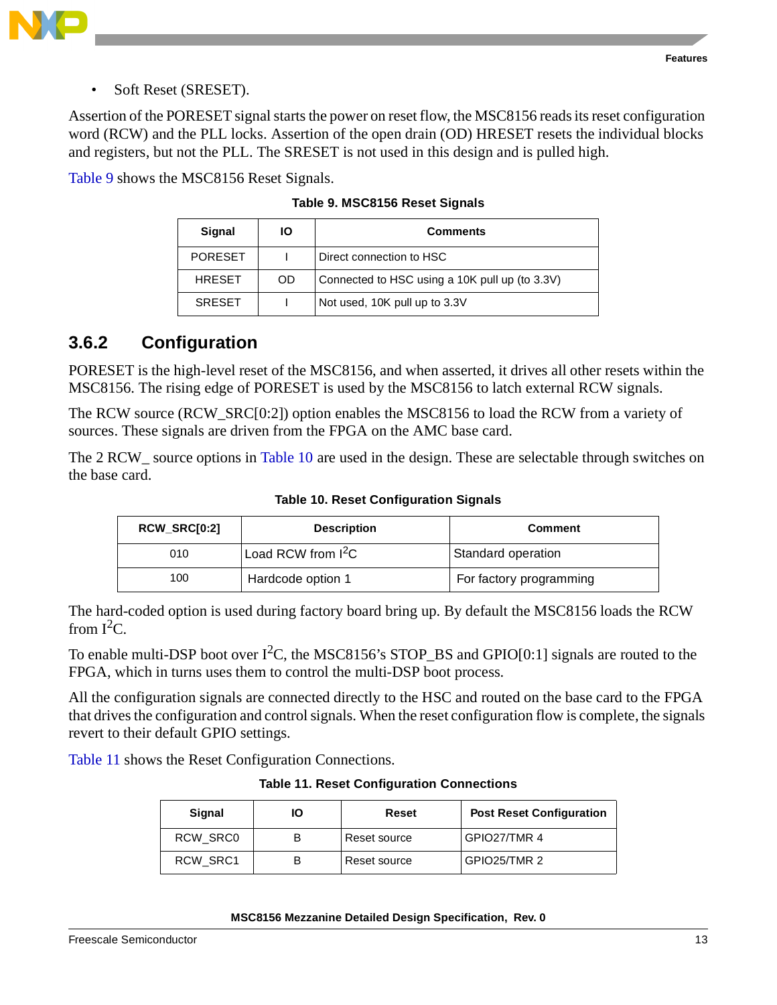



• Soft Reset (SRESET).

Assertion of the PORESET signal starts the power on reset flow, the MSC8156 reads its reset configuration word (RCW) and the PLL locks. Assertion of the open drain (OD) HRESET resets the individual blocks and registers, but not the PLL. The SRESET is not used in this design and is pulled high.

<span id="page-12-0"></span>[Table 9](#page-12-0) shows the MSC8156 Reset Signals.

| Signal         | ΙO        | <b>Comments</b>                                |
|----------------|-----------|------------------------------------------------|
| <b>PORESET</b> |           | Direct connection to HSC                       |
| <b>HRESET</b>  | <b>OD</b> | Connected to HSC using a 10K pull up (to 3.3V) |
| <b>SRESET</b>  |           | Not used, 10K pull up to 3.3V                  |

**Table 9. MSC8156 Reset Signals**

## **3.6.2 Configuration**

PORESET is the high-level reset of the MSC8156, and when asserted, it drives all other resets within the MSC8156. The rising edge of PORESET is used by the MSC8156 to latch external RCW signals.

The RCW source (RCW\_SRC[0:2]) option enables the MSC8156 to load the RCW from a variety of sources. These signals are driven from the FPGA on the AMC base card.

<span id="page-12-2"></span>The 2 RCW\_ source options in [Table 10](#page-12-2) are used in the design. These are selectable through switches on the base card.

| <b>RCW_SRC[0:2]</b> | <b>Description</b>             | <b>Comment</b>          |
|---------------------|--------------------------------|-------------------------|
| 010                 | Load RCW from I <sup>2</sup> C | Standard operation      |
| 100                 | Hardcode option 1              | For factory programming |

**Table 10. Reset Configuration Signals**

The hard-coded option is used during factory board bring up. By default the MSC8156 loads the RCW from  $I^2C$ .

To enable multi-DSP boot over  $I^2C$ , the MSC8156's STOP\_BS and GPIO[0:1] signals are routed to the FPGA, which in turns uses them to control the multi-DSP boot process.

All the configuration signals are connected directly to the HSC and routed on the base card to the FPGA that drives the configuration and control signals. When the reset configuration flow is complete, the signals revert to their default GPIO settings.

<span id="page-12-1"></span>[Table 11](#page-12-1) shows the Reset Configuration Connections.

**Table 11. Reset Configuration Connections**

| <b>Signal</b> | IО | Reset        | <b>Post Reset Configuration</b> |
|---------------|----|--------------|---------------------------------|
| RCW SRC0      |    | Reset source | GPIO27/TMR 4                    |
| RCW SRC1      |    | Reset source | GPIO25/TMR 2                    |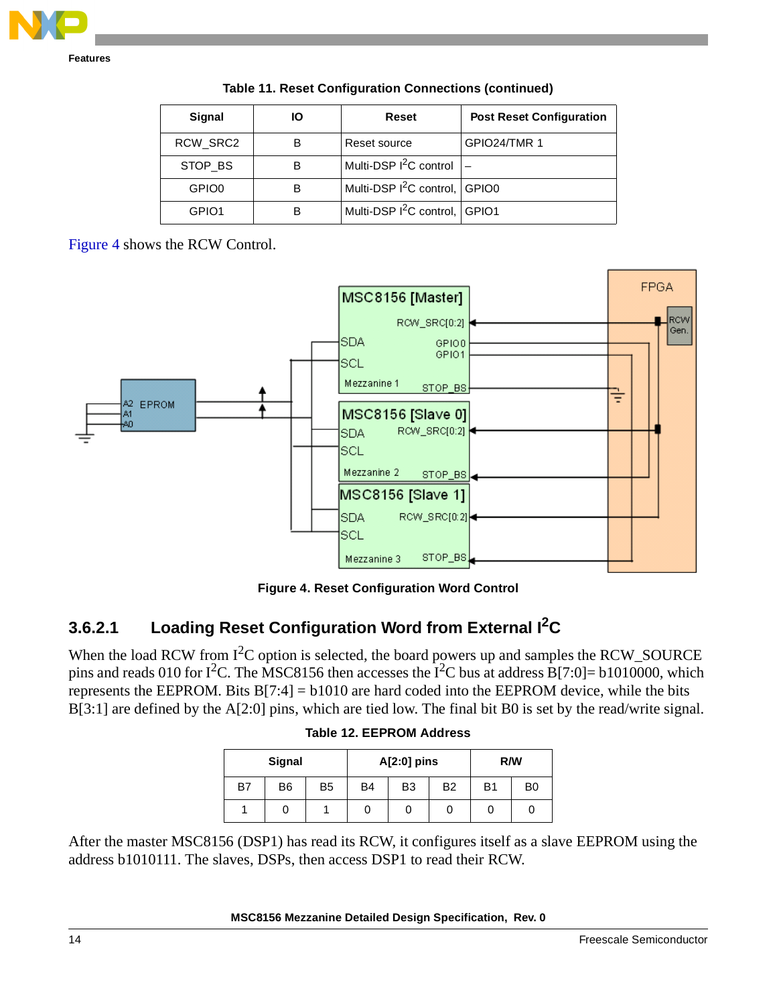| Signal            | lО | Reset                                     | <b>Post Reset Configuration</b> |
|-------------------|----|-------------------------------------------|---------------------------------|
| RCW_SRC2          | В  | Reset source                              | GPIO24/TMR 1                    |
| STOP BS           | в  | Multi-DSP $I^2C$ control                  |                                 |
| GPIO <sub>0</sub> | В  | Multi-DSP I <sup>2</sup> C control, GPIO0 |                                 |
| GPIO <sub>1</sub> | В  | Multi-DSP I <sup>2</sup> C control, GPIO1 |                                 |

**Table 11. Reset Configuration Connections (continued)**

[Figure 4](#page-13-0) shows the RCW Control.



**Figure 4. Reset Configuration Word Control**

## <span id="page-13-0"></span>**3.6.2.1 Loading Reset Configuration Word from External I2C**

When the load RCW from I<sup>2</sup>C option is selected, the board powers up and samples the RCW\_SOURCE pins and reads 010 for I<sup>2</sup>C. The MSC8156 then accesses the I<sup>2</sup>C bus at address B[7:0]= b1010000, which represents the EEPROM. Bits  $B[7:4] = b1010$  are hard coded into the EEPROM device, while the bits B[3:1] are defined by the A[2:0] pins, which are tied low. The final bit B0 is set by the read/write signal.

|  | <b>Table 12. EEPROM Address</b> |  |
|--|---------------------------------|--|
|  |                                 |  |

| Signal |                |                | $A[2:0]$ pins |                | R/W       |                |                |
|--------|----------------|----------------|---------------|----------------|-----------|----------------|----------------|
| B7     | B <sub>6</sub> | B <sub>5</sub> | <b>B4</b>     | B <sub>3</sub> | <b>B2</b> | B <sub>1</sub> | B <sub>0</sub> |
|        | 0              |                |               |                |           | 0              |                |

After the master MSC8156 (DSP1) has read its RCW, it configures itself as a slave EEPROM using the address b1010111. The slaves, DSPs, then access DSP1 to read their RCW.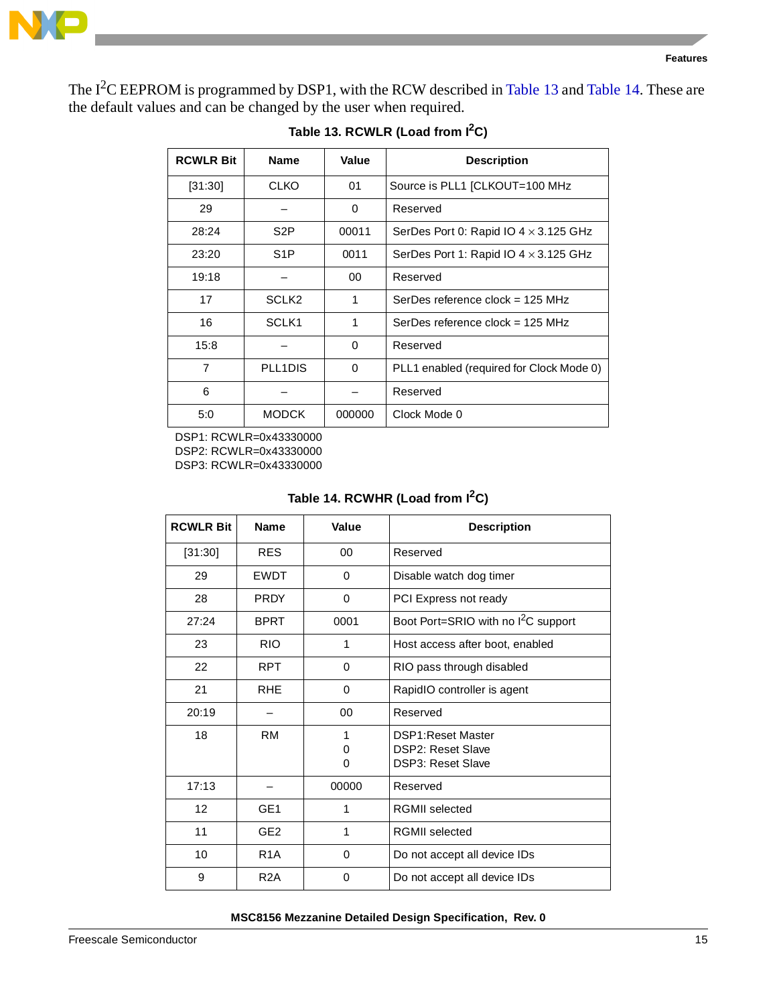

<span id="page-14-0"></span>The  $I^2C$  EEPROM is programmed by DSP1, with the RCW described in [Table 13](#page-14-0) and [Table 14](#page-14-1). These are the default values and can be changed by the user when required.

| <b>RCWLR Bit</b> | <b>Name</b>       | Value    | <b>Description</b>                           |
|------------------|-------------------|----------|----------------------------------------------|
| [31:30]          | <b>CLKO</b>       | 01       | Source is PLL1 [CLKOUT=100 MHz               |
| 29               |                   | 0        | Reserved                                     |
| 28:24            | S <sub>2</sub> P  | 00011    | SerDes Port 0: Rapid IO $4 \times 3.125$ GHz |
| 23:20            | S <sub>1</sub> P  | 0011     | SerDes Port 1: Rapid IO 4 × 3.125 GHz        |
| 19:18            |                   | 00       | Reserved                                     |
| 17               | SCLK <sub>2</sub> | 1        | SerDes reference clock = $125 \text{ MHz}$   |
| 16               | SCLK <sub>1</sub> | 1        | SerDes reference clock = $125 \text{ MHz}$   |
| 15:8             |                   | $\Omega$ | Reserved                                     |
| $\overline{7}$   | PLL1DIS           | $\Omega$ | PLL1 enabled (required for Clock Mode 0)     |
| 6                |                   |          | Reserved                                     |
| 5:0              | <b>MODCK</b>      | 000000   | Clock Mode 0                                 |

#### Table 13. RCWLR (Load from I<sup>2</sup>C)

DSP1: RCWLR=0x43330000 DSP2: RCWLR=0x43330000 DSP3: RCWLR=0x43330000

### Table 14. RCWHR (Load from  $I<sup>2</sup>C$ )

<span id="page-14-1"></span>

| <b>RCWLR Bit</b> | <b>Name</b>      | Value       | <b>Description</b>                                                         |
|------------------|------------------|-------------|----------------------------------------------------------------------------|
| [31:30]          | <b>RES</b>       | 00          | Reserved                                                                   |
| 29               | <b>FWDT</b>      | $\Omega$    | Disable watch dog timer                                                    |
| 28               | <b>PRDY</b>      | $\Omega$    | PCI Express not ready                                                      |
| 27:24            | BPRT             | 0001        | Boot Port=SRIO with no I <sup>2</sup> C support                            |
| 23               | <b>RIO</b>       | 1           | Host access after boot, enabled                                            |
| 22               | RPT.             | $\Omega$    | RIO pass through disabled                                                  |
| 21               | RHE              | $\Omega$    | RapidIO controller is agent                                                |
| 20:19            |                  | 00          | Reserved                                                                   |
| 18               | <b>RM</b>        | 1<br>0<br>0 | DSP1: Reset Master<br><b>DSP2: Reset Slave</b><br><b>DSP3: Reset Slave</b> |
| 17:13            |                  | 00000       | Reserved                                                                   |
| 12               | GE <sub>1</sub>  | 1           | <b>RGMII</b> selected                                                      |
| 11               | GE <sub>2</sub>  | 1           | <b>RGMII</b> selected                                                      |
| 10               | R <sub>1</sub> A | 0           | Do not accept all device IDs                                               |
| 9                | R <sub>2</sub> A | 0           | Do not accept all device IDs                                               |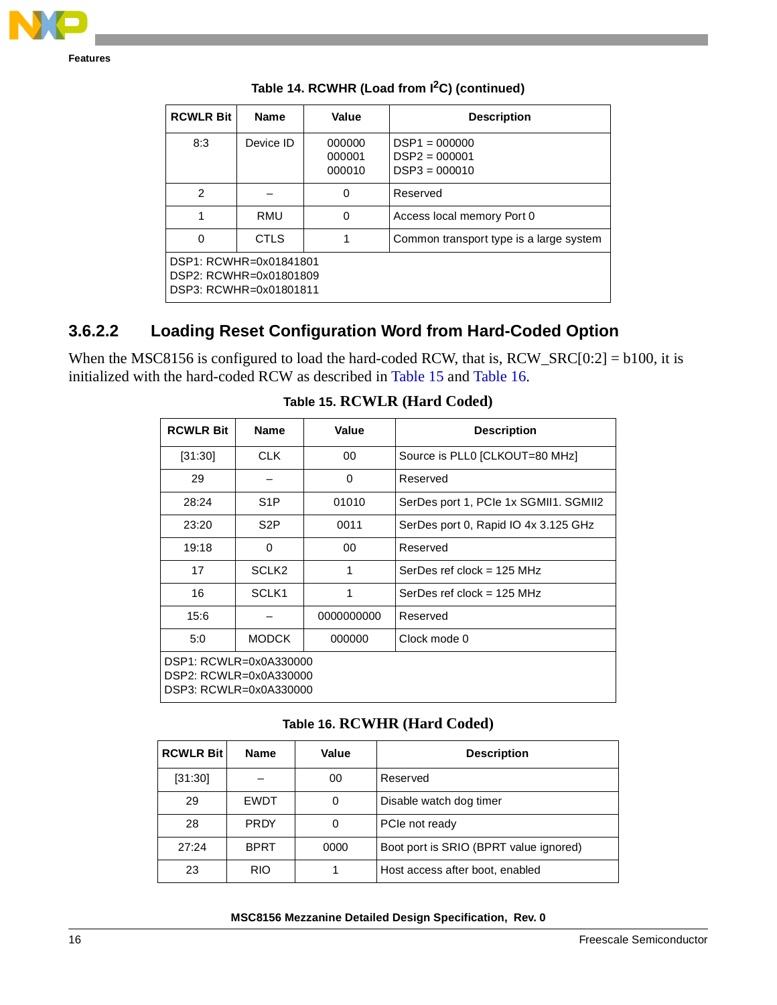

| <b>RCWLR Bit</b>                                                           | <b>Name</b> | Value                      | <b>Description</b>                                    |  |
|----------------------------------------------------------------------------|-------------|----------------------------|-------------------------------------------------------|--|
| 8:3                                                                        | Device ID   | 000000<br>000001<br>000010 | $DSP1 = 000000$<br>$DSP2 = 000001$<br>$DSP3 = 000010$ |  |
| $\mathfrak{p}$                                                             |             | 0                          | Reserved                                              |  |
|                                                                            | <b>RMU</b>  | $\Omega$                   | Access local memory Port 0                            |  |
| 0                                                                          | <b>CTLS</b> |                            | Common transport type is a large system               |  |
| DSP1: RCWHR=0x01841801<br>DSP2: RCWHR=0x01801809<br>DSP3: RCWHR=0x01801811 |             |                            |                                                       |  |

**Table 14. RCWHR (Load from I2C) (continued)**

## **3.6.2.2 Loading Reset Configuration Word from Hard-Coded Option**

<span id="page-15-0"></span>When the MSC8156 is configured to load the hard-coded RCW, that is, RCW\_SRC[0:2] = b100, it is initialized with the hard-coded RCW as described in [Table 15](#page-15-0) and [Table 16.](#page-15-1)

| <b>RCWLR Bit</b>                                                           | <b>Name</b>            | Value      | <b>Description</b>                    |  |
|----------------------------------------------------------------------------|------------------------|------------|---------------------------------------|--|
| [31:30]                                                                    | CLK.                   | 00         | Source is PLL0 [CLKOUT=80 MHz]        |  |
| 29                                                                         |                        | 0          | Reserved                              |  |
| 28:24                                                                      | S <sub>1</sub> P       | 01010      | SerDes port 1, PCIe 1x SGMII1. SGMII2 |  |
| 23:20                                                                      | S <sub>2</sub> P       | 0011       | SerDes port 0, Rapid IO 4x 3.125 GHz  |  |
| 19:18                                                                      | $\Omega$               | 00         | Reserved                              |  |
| 17                                                                         | SCLK <sub>2</sub>      | 1          | SerDes ref clock = $125$ MHz          |  |
| 16                                                                         | SCLK <sub>1</sub>      | 1          | SerDes ref clock = $125$ MHz          |  |
| 15:6                                                                       |                        | 0000000000 | Reserved                              |  |
| 5:0                                                                        | <b>MODCK</b><br>000000 |            | Clock mode 0                          |  |
| DSP1: RCWLR=0x0A330000<br>DSP2: RCWLR=0x0A330000<br>DSP3: RCWLR=0x0A330000 |                        |            |                                       |  |

**Table 15. RCWLR (Hard Coded)**

#### **Table 16. RCWHR (Hard Coded)**

<span id="page-15-1"></span>

| <b>RCWLR Bit</b> | <b>Name</b> | Value | <b>Description</b>                     |
|------------------|-------------|-------|----------------------------------------|
| [31:30]          |             | 00    | Reserved                               |
| 29               | EWDT        | 0     | Disable watch dog timer                |
| 28               | <b>PRDY</b> |       | PCIe not ready                         |
| 27:24            | <b>BPRT</b> | 0000  | Boot port is SRIO (BPRT value ignored) |
| 23               | <b>RIO</b>  |       | Host access after boot, enabled        |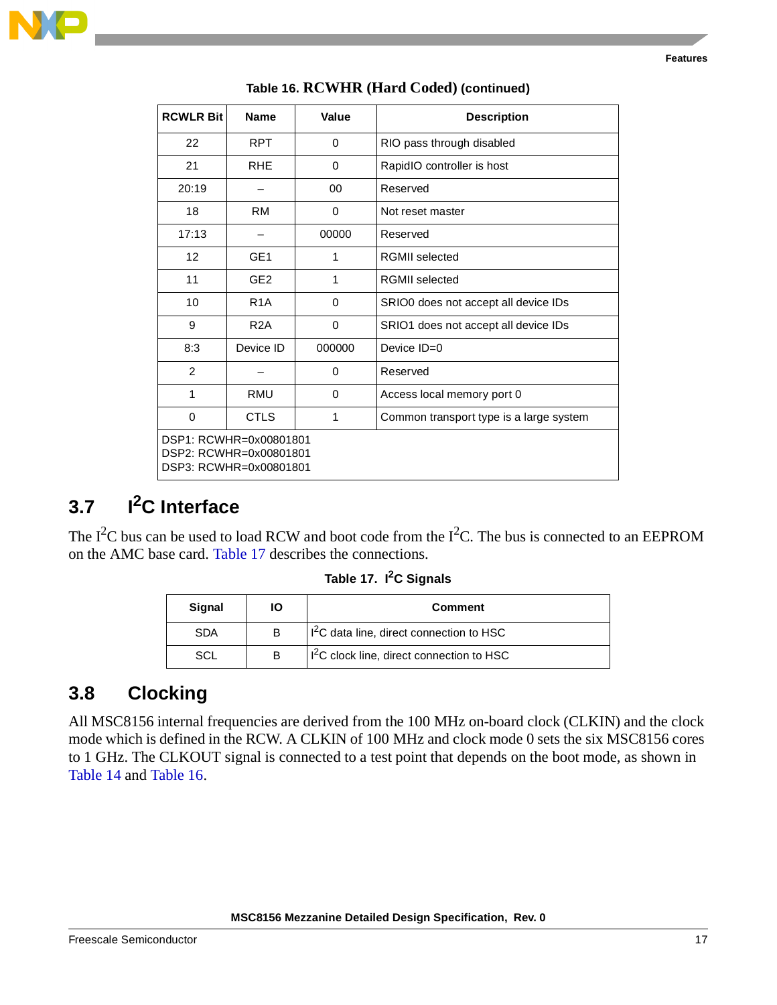

| <b>RCWLR Bit</b>                                                           | <b>Name</b>      | Value       | <b>Description</b>                      |
|----------------------------------------------------------------------------|------------------|-------------|-----------------------------------------|
| 22                                                                         | <b>RPT</b>       | $\Omega$    | RIO pass through disabled               |
| 21                                                                         | <b>RHE</b>       | $\mathbf 0$ | RapidIO controller is host              |
| 20:19                                                                      |                  | 00          | Reserved                                |
| 18                                                                         | <b>RM</b>        | $\Omega$    | Not reset master                        |
| 17:13                                                                      |                  | 00000       | Reserved                                |
| 12                                                                         | GE <sub>1</sub>  | 1           | <b>RGMII</b> selected                   |
| 11                                                                         | GE <sub>2</sub>  | 1           | <b>RGMII</b> selected                   |
| 10                                                                         | R <sub>1</sub> A | $\Omega$    | SRIO0 does not accept all device IDs    |
| 9                                                                          | R2A              | $\Omega$    | SRIO1 does not accept all device IDs    |
| 8:3                                                                        | Device ID        | 000000      | Device ID=0                             |
| $\overline{2}$                                                             |                  | $\Omega$    | Reserved                                |
| 1                                                                          | RMU              | $\Omega$    | Access local memory port 0              |
| $\Omega$                                                                   | <b>CTLS</b>      | 1           | Common transport type is a large system |
| DSP1: RCWHR=0x00801801<br>DSP2: RCWHR=0x00801801<br>DSP3: RCWHR=0x00801801 |                  |             |                                         |

#### **Table 16. RCWHR (Hard Coded) (continued)**

## <span id="page-16-0"></span>**3.7 I2C Interface**

<span id="page-16-2"></span>The  $I^2C$  bus can be used to load RCW and boot code from the  $I^2C$ . The bus is connected to an EEPROM on the AMC base card. [Table 17](#page-16-2) describes the connections.

| Table 17. I <sup>2</sup> C Signals |  |
|------------------------------------|--|
|------------------------------------|--|

| Signal | ΙO | <b>Comment</b>                             |  |
|--------|----|--------------------------------------------|--|
| SDA    | B  | $12C$ data line, direct connection to HSC  |  |
| SCI    | в  | $12C$ clock line, direct connection to HSC |  |

## <span id="page-16-1"></span>**3.8 Clocking**

All MSC8156 internal frequencies are derived from the 100 MHz on-board clock (CLKIN) and the clock mode which is defined in the RCW. A CLKIN of 100 MHz and clock mode 0 sets the six MSC8156 cores to 1 GHz. The CLKOUT signal is connected to a test point that depends on the boot mode, as shown in [Table 14](#page-14-1) and [Table 16](#page-15-1).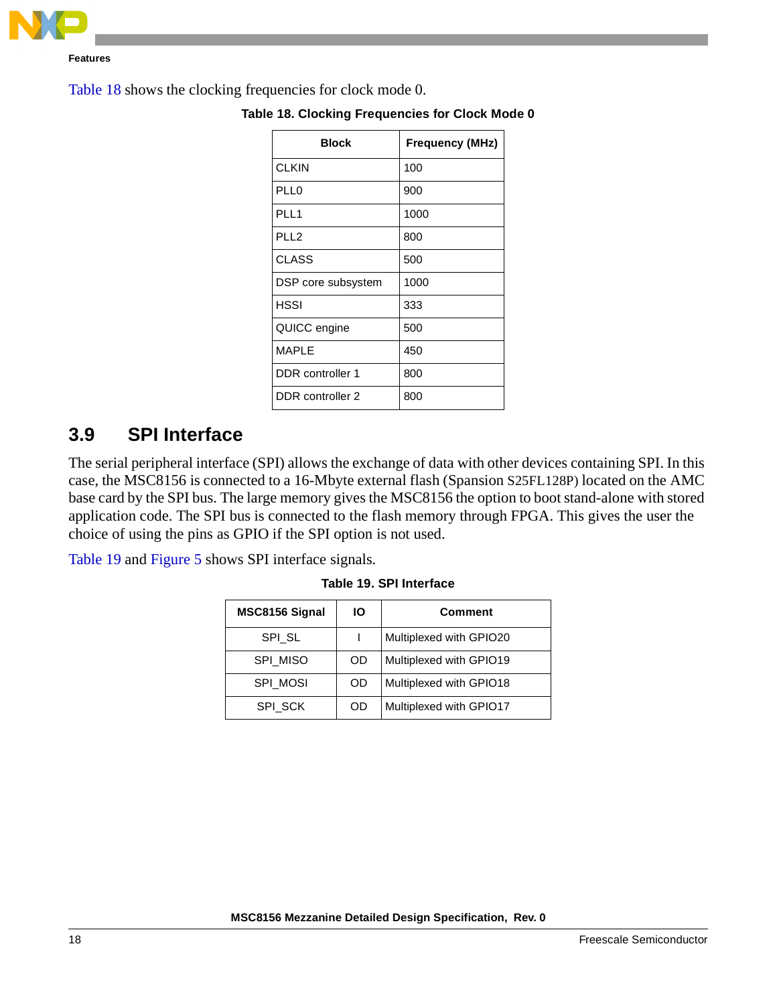

<span id="page-17-1"></span>[Table 18](#page-17-1) shows the clocking frequencies for clock mode 0.

| Block              | <b>Frequency (MHz)</b> |
|--------------------|------------------------|
| <b>CLKIN</b>       | 100                    |
| PLL0               | 900                    |
| PLL1               | 1000                   |
| PLL <sub>2</sub>   | 800                    |
| <b>CLASS</b>       | 500                    |
| DSP core subsystem | 1000                   |
| <b>HSSI</b>        | 333                    |
| QUICC engine       | 500                    |
| MAPLE              | 450                    |
| DDR controller 1   | 800                    |
| DDR controller 2   | 800                    |

**Table 18. Clocking Frequencies for Clock Mode 0**

## <span id="page-17-0"></span>**3.9 SPI Interface**

The serial peripheral interface (SPI) allows the exchange of data with other devices containing SPI. In this case, the MSC8156 is connected to a 16-Mbyte external flash (Spansion S25FL128P) located on the AMC base card by the SPI bus. The large memory gives the MSC8156 the option to boot stand-alone with stored application code. The SPI bus is connected to the flash memory through FPGA. This gives the user the choice of using the pins as GPIO if the SPI option is not used.

<span id="page-17-2"></span>[Table 19](#page-17-2) and [Figure 5](#page-18-1) shows SPI interface signals.

| MSC8156 Signal<br>ΙO |    | <b>Comment</b>          |
|----------------------|----|-------------------------|
| SPI SL               |    | Multiplexed with GPIO20 |
| SPI MISO             | OD | Multiplexed with GPIO19 |
| <b>SPI MOSI</b>      | OD | Multiplexed with GPIO18 |
| SPI SCK              | OD | Multiplexed with GPIO17 |

**Table 19. SPI Interface**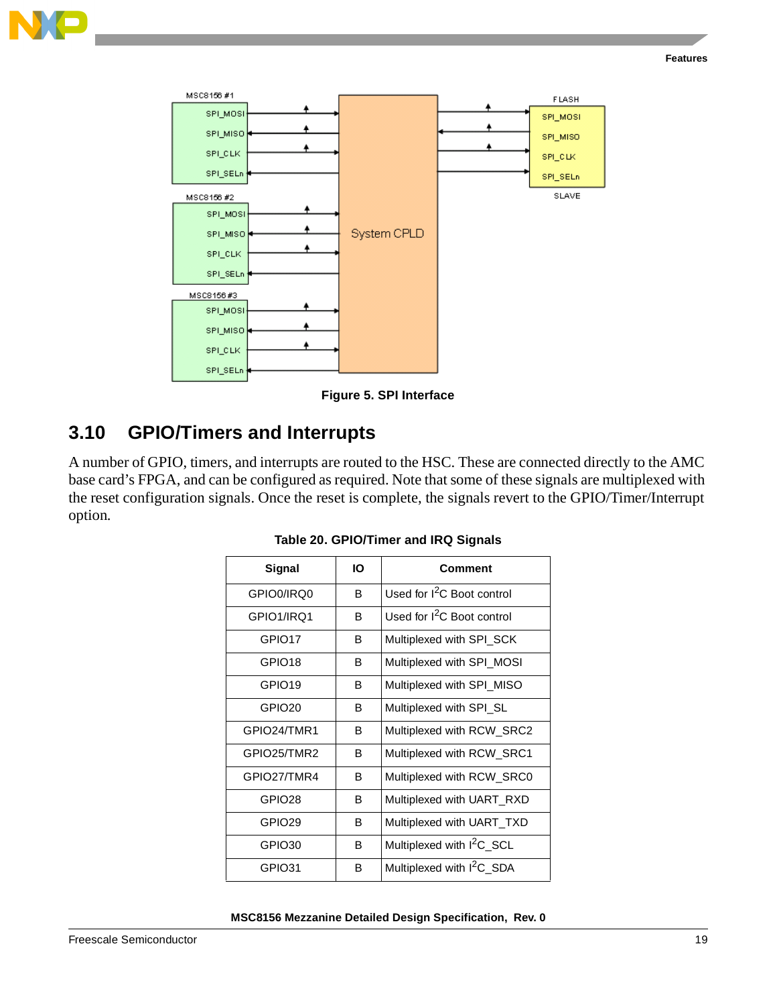



**Figure 5. SPI Interface**

## <span id="page-18-1"></span><span id="page-18-0"></span>**3.10 GPIO/Timers and Interrupts**

A number of GPIO, timers, and interrupts are routed to the HSC. These are connected directly to the AMC base card's FPGA, and can be configured as required. Note that some of these signals are multiplexed with the reset configuration signals. Once the reset is complete, the signals revert to the GPIO/Timer/Interrupt option.

| IО<br>Signal       |   | Comment                                |
|--------------------|---|----------------------------------------|
| GPIO0/IRQ0         | B | Used for I <sup>2</sup> C Boot control |
| GPIO1/IRQ1         | в | Used for $1^2C$ Boot control           |
| GPIO17             | В | Multiplexed with SPI_SCK               |
| GPIO <sub>18</sub> | В | Multiplexed with SPI_MOSI              |
| GPIO <sub>19</sub> | B | Multiplexed with SPI_MISO              |
| GPIO <sub>20</sub> | В | Multiplexed with SPI_SL                |
| GPIO24/TMR1        | В | Multiplexed with RCW_SRC2              |
| GPIO25/TMR2        | В | Multiplexed with RCW_SRC1              |
| GPIO27/TMR4        | B | Multiplexed with RCW_SRC0              |
| GPIO <sub>28</sub> | В | Multiplexed with UART RXD              |
| GPIO <sub>29</sub> | В | Multiplexed with UART_TXD              |
| GPIO <sub>30</sub> | B | Multiplexed with I <sup>2</sup> C_SCL  |
| GPIO31             | В | Multiplexed with I <sup>2</sup> C_SDA  |

#### **Table 20. GPIO/Timer and IRQ Signals**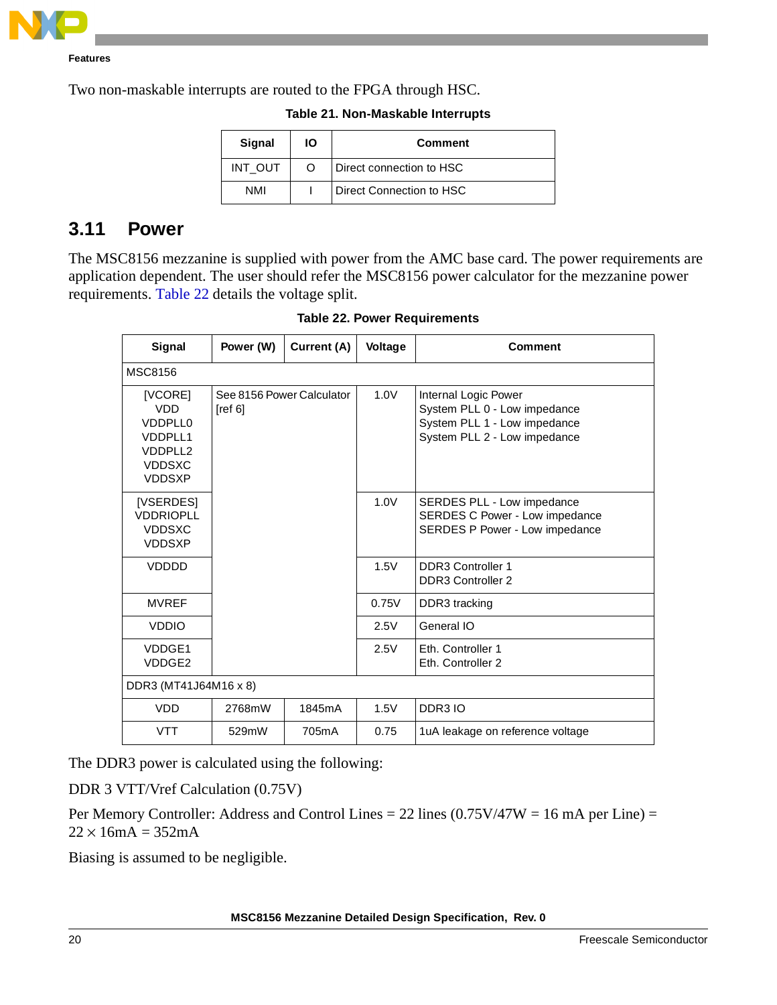

Two non-maskable interrupts are routed to the FPGA through HSC.

| Signal     | IО | <b>Comment</b>           |  |
|------------|----|--------------------------|--|
| INT OUT    | ∩  | Direct connection to HSC |  |
| <b>NMI</b> |    | Direct Connection to HSC |  |

#### **Table 21. Non-Maskable Interrupts**

## <span id="page-19-0"></span>**3.11 Power**

 $\mathsf{r}$ 

<span id="page-19-1"></span>The MSC8156 mezzanine is supplied with power from the AMC base card. The power requirements are application dependent. The user should refer the MSC8156 power calculator for the mezzanine power requirements. [Table 22](#page-19-1) details the voltage split.

| Signal                                                                                          | Power (W)                            | Current (A) | <b>Voltage</b> | <b>Comment</b>                                                                                                       |  |  |  |
|-------------------------------------------------------------------------------------------------|--------------------------------------|-------------|----------------|----------------------------------------------------------------------------------------------------------------------|--|--|--|
| <b>MSC8156</b>                                                                                  |                                      |             |                |                                                                                                                      |  |  |  |
| [VCORE]<br><b>VDD</b><br>VDDPLL0<br><b>VDDPLL1</b><br>VDDPLL2<br><b>VDDSXC</b><br><b>VDDSXP</b> | See 8156 Power Calculator<br>[ref 6] |             | 1.0V           | Internal Logic Power<br>System PLL 0 - Low impedance<br>System PLL 1 - Low impedance<br>System PLL 2 - Low impedance |  |  |  |
| [VSERDES]<br><b>VDDRIOPLL</b><br><b>VDDSXC</b><br><b>VDDSXP</b>                                 |                                      |             | 1.0V           | SERDES PLL - Low impedance<br>SERDES C Power - Low impedance<br>SERDES P Power - Low impedance                       |  |  |  |
| VDDDD                                                                                           |                                      |             | 1.5V           | <b>DDR3 Controller 1</b><br><b>DDR3 Controller 2</b>                                                                 |  |  |  |
| <b>MVREF</b>                                                                                    |                                      |             | 0.75V          | DDR3 tracking                                                                                                        |  |  |  |
| <b>VDDIO</b>                                                                                    |                                      |             | 2.5V           | General IO                                                                                                           |  |  |  |
| VDDGE1<br>VDDGE2                                                                                |                                      |             | 2.5V           | <b>Eth. Controller 1</b><br>Eth. Controller 2                                                                        |  |  |  |
| DDR3 (MT41J64M16 x 8)                                                                           |                                      |             |                |                                                                                                                      |  |  |  |
| <b>VDD</b>                                                                                      | 2768mW                               | 1845mA      | 1.5V           | DDR3 IO                                                                                                              |  |  |  |
| <b>VTT</b>                                                                                      | 529mW                                | 705mA       | 0.75           | 1uA leakage on reference voltage                                                                                     |  |  |  |

#### **Table 22. Power Requirements**

The DDR3 power is calculated using the following:

DDR 3 VTT/Vref Calculation (0.75V)

Per Memory Controller: Address and Control Lines = 22 lines  $(0.75V/47W = 16 \text{ mA per Line}) =$  $22 \times 16$ mA = 352mA

Biasing is assumed to be negligible.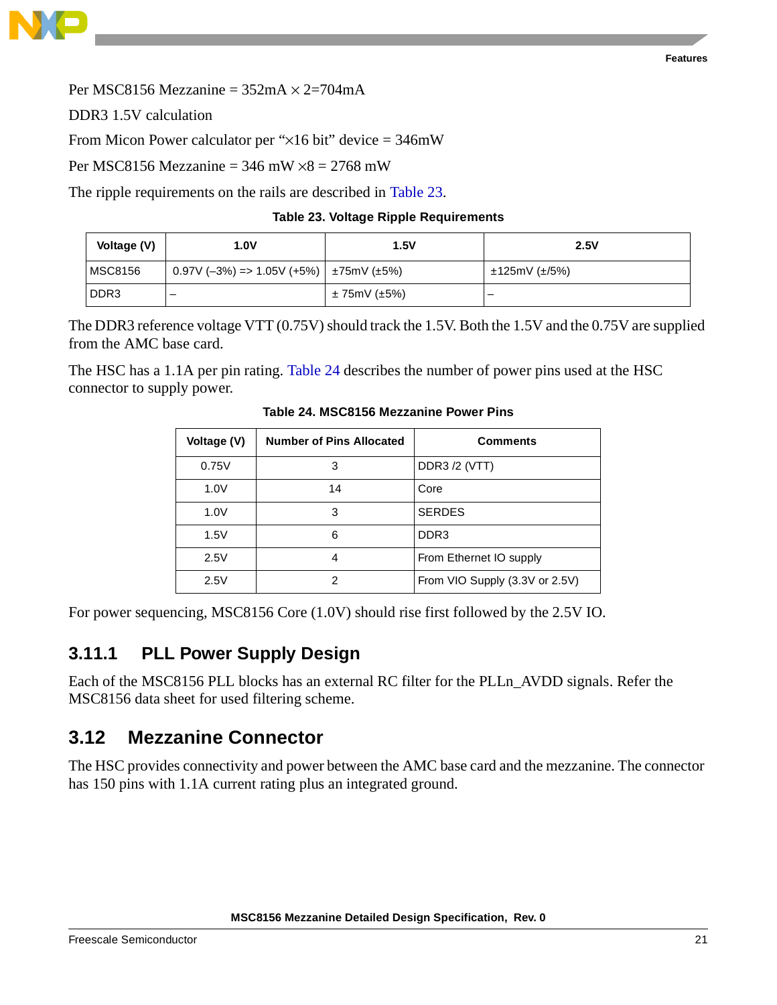



DDR3 1.5V calculation

From Micon Power calculator per " $\times$ 16 bit" device = 346mW

Per MSC8156 Mezzanine =  $346$  mW  $\times$ 8 =  $2768$  mW

<span id="page-20-2"></span>The ripple requirements on the rails are described in [Table 23.](#page-20-2)

#### **Table 23. Voltage Ripple Requirements**

| Voltage (V)    | 1.0V                                      | 1.5V                   | 2.5V          |  |
|----------------|-------------------------------------------|------------------------|---------------|--|
| <b>MSC8156</b> | $0.97V (-3%) = > 1.05V (+5%)$ ±75mV (±5%) |                        | ±125mV (±/5%) |  |
| DDR3           |                                           | $\pm$ 75mV ( $\pm$ 5%) | –             |  |

The DDR3 reference voltage VTT (0.75V) should track the 1.5V. Both the 1.5V and the 0.75V are supplied from the AMC base card.

<span id="page-20-1"></span>The HSC has a 1.1A per pin rating. [Table 24](#page-20-1) describes the number of power pins used at the HSC connector to supply power.

| Voltage (V) | Number of Pins Allocated | <b>Comments</b>                |
|-------------|--------------------------|--------------------------------|
| 0.75V       | 3                        | <b>DDR3/2 (VTT)</b>            |
| 1.0V        | 14                       | Core                           |
| 1.0V        | 3                        | <b>SERDES</b>                  |
| 1.5V        | 6                        | DDR <sub>3</sub>               |
| 2.5V        | 4                        | From Ethernet IO supply        |
| 2.5V        | 2                        | From VIO Supply (3.3V or 2.5V) |

#### **Table 24. MSC8156 Mezzanine Power Pins**

For power sequencing, MSC8156 Core (1.0V) should rise first followed by the 2.5V IO.

## **3.11.1 PLL Power Supply Design**

Each of the MSC8156 PLL blocks has an external RC filter for the PLLn\_AVDD signals. Refer the MSC8156 data sheet for used filtering scheme.

## <span id="page-20-0"></span>**3.12 Mezzanine Connector**

The HSC provides connectivity and power between the AMC base card and the mezzanine. The connector has 150 pins with 1.1A current rating plus an integrated ground.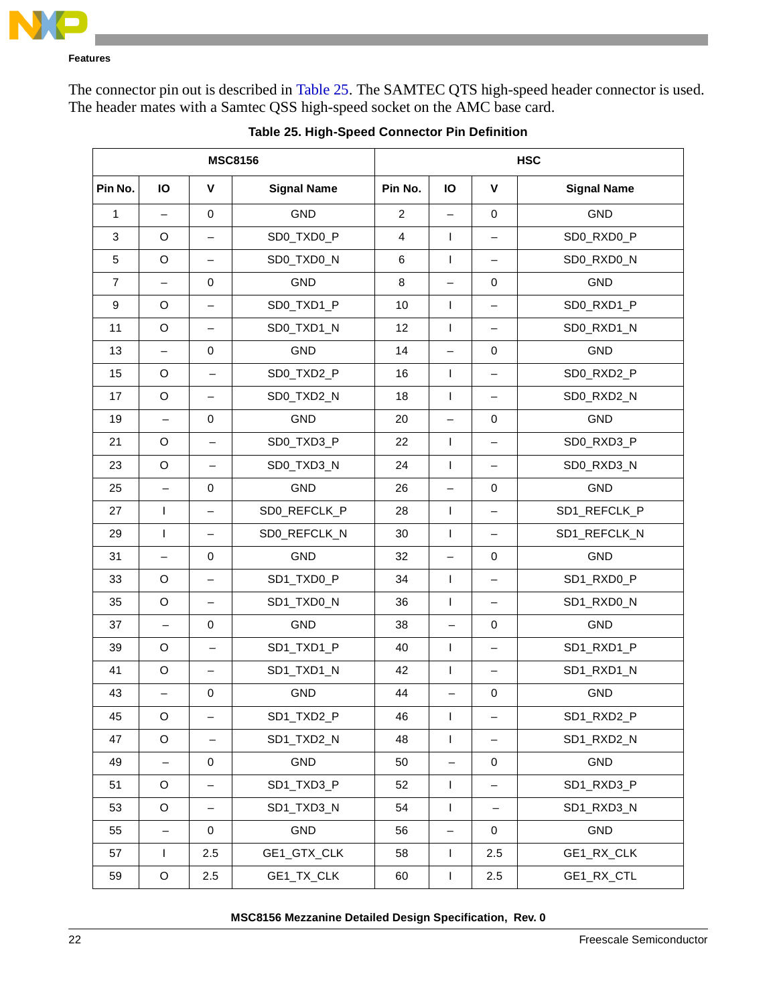

The connector pin out is described in [Table 25](#page-21-0). The SAMTEC QTS high-speed header connector is used. The header mates with a Samtec QSS high-speed socket on the AMC base card.

<span id="page-21-0"></span>

| <b>MSC8156</b>                           |                          |                          | <b>HSC</b>   |                |                          |                          |              |  |
|------------------------------------------|--------------------------|--------------------------|--------------|----------------|--------------------------|--------------------------|--------------|--|
| Pin No.<br>IO<br>V<br><b>Signal Name</b> |                          | Pin No.                  | IO           | $\mathbf v$    | <b>Signal Name</b>       |                          |              |  |
| 1                                        | $\overline{\phantom{0}}$ | $\mathbf 0$              | GND          | $\overline{c}$ | $\overline{\phantom{0}}$ | $\mathbf 0$              | GND          |  |
| $\mathbf{3}$                             | O                        | $\qquad \qquad -$        | SD0_TXD0_P   | 4              | $\mathbf{I}$             | $\qquad \qquad -$        | SD0_RXD0_P   |  |
| $\sqrt{5}$                               | $\circ$                  | $\qquad \qquad -$        | SD0_TXD0_N   | 6              | $\mathbf{I}$             |                          | SD0_RXD0_N   |  |
| $\overline{7}$                           | $\overline{\phantom{0}}$ | 0                        | <b>GND</b>   | 8              | $\overline{\phantom{0}}$ | $\pmb{0}$                | GND          |  |
| 9                                        | O                        | $\qquad \qquad -$        | SD0_TXD1_P   | 10             | T                        | $\qquad \qquad -$        | SD0_RXD1_P   |  |
| 11                                       | $\mathsf O$              | $\qquad \qquad -$        | SD0_TXD1_N   | 12             | T                        | $\qquad \qquad -$        | SD0_RXD1_N   |  |
| 13                                       | $\overline{\phantom{0}}$ | 0                        | GND          | 14             | $\overline{\phantom{0}}$ | 0                        | GND          |  |
| 15                                       | $\mathsf O$              | $\qquad \qquad -$        | SD0_TXD2_P   | 16             | $\mathbf{I}$             |                          | SD0_RXD2_P   |  |
| 17                                       | $\circ$                  | $\qquad \qquad -$        | SD0_TXD2_N   | 18             | $\mathbf{I}$             |                          | SD0_RXD2_N   |  |
| 19                                       | $\qquad \qquad -$        | 0                        | <b>GND</b>   | 20             | $\overline{\phantom{0}}$ | $\pmb{0}$                | GND          |  |
| 21                                       | O                        | $\overline{\phantom{m}}$ | SD0_TXD3_P   | 22             | T                        | $\qquad \qquad -$        | SD0_RXD3_P   |  |
| 23                                       | $\mathsf O$              | $\overline{\phantom{0}}$ | SD0_TXD3_N   | 24             | T                        | $\qquad \qquad -$        | SD0_RXD3_N   |  |
| 25                                       | $\qquad \qquad -$        | 0                        | GND          | 26             | $\overline{\phantom{0}}$ | 0                        | GND          |  |
| 27                                       | $\mathsf{I}$             | $\qquad \qquad -$        | SD0_REFCLK_P | 28             | $\mathbf{I}$             | $\qquad \qquad -$        | SD1_REFCLK_P |  |
| 29                                       | $\mathsf{I}$             | $\qquad \qquad -$        | SD0_REFCLK_N | 30             | T                        |                          | SD1_REFCLK_N |  |
| 31                                       | $\overline{\phantom{0}}$ | 0                        | <b>GND</b>   | 32             | $\overline{\phantom{0}}$ | $\pmb{0}$                | GND          |  |
| 33                                       | O                        | $\qquad \qquad -$        | SD1_TXD0_P   | 34             | T                        | $\qquad \qquad -$        | SD1_RXD0_P   |  |
| 35                                       | $\mathsf O$              | $\qquad \qquad -$        | SD1_TXD0_N   | 36             | T                        | $\qquad \qquad -$        | SD1_RXD0_N   |  |
| 37                                       | $\qquad \qquad -$        | 0                        | GND          | 38             | $\qquad \qquad -$        | 0                        | GND          |  |
| 39                                       | O                        | $\qquad \qquad -$        | SD1_TXD1_P   | 40             | $\mathbf{I}$             |                          | SD1_RXD1_P   |  |
| 41                                       | O                        | $\qquad \qquad -$        | SD1_TXD1_N   | 42             | T                        | $\qquad \qquad -$        | SD1_RXD1_N   |  |
| 43                                       | $\overline{\phantom{0}}$ | 0                        | GND          | 44             | $\qquad \qquad -$        | $\pmb{0}$                | GND          |  |
| 45                                       | O                        |                          | SD1_TXD2_P   | 46             | T                        |                          | SD1_RXD2_P   |  |
| 47                                       | $\mathsf O$              | $\qquad \qquad -$        | SD1_TXD2_N   | 48             | $\mathbf{I}$             |                          | SD1_RXD2_N   |  |
| 49                                       | $\qquad \qquad -$        | 0                        | GND          | 50             | $\overline{\phantom{0}}$ | $\mathbf 0$              | GND          |  |
| 51                                       | $\mathsf O$              | $\qquad \qquad -$        | SD1_TXD3_P   | 52             | $\mathbf{I}$             | $\overline{\phantom{0}}$ | SD1_RXD3_P   |  |
| 53                                       | $\mathsf O$              | $\qquad \qquad -$        | SD1_TXD3_N   | 54             | $\mathbf{I}$             | $\overline{\phantom{0}}$ | SD1_RXD3_N   |  |
| 55                                       | $\qquad \qquad -$        | 0                        | GND          | 56             | -                        | 0                        | GND          |  |
| 57                                       | $\mathsf{I}$             | 2.5                      | GE1_GTX_CLK  | 58             | $\mathbf{I}$             | 2.5                      | GE1_RX_CLK   |  |
| 59                                       | $\mathsf O$              | 2.5                      | GE1_TX_CLK   | 60             | T                        | 2.5                      | GE1_RX_CTL   |  |

**Table 25. High-Speed Connector Pin Definition**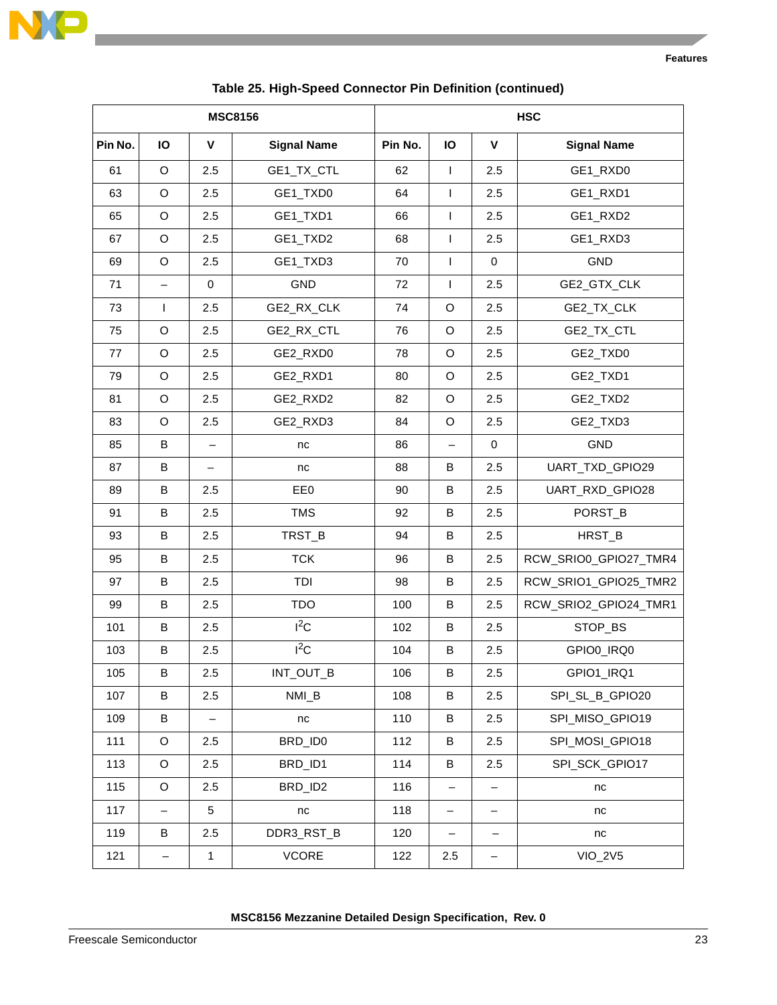

| <b>MSC8156</b> |                   |                          | <b>HSC</b>         |                                          |                   |                   |                       |
|----------------|-------------------|--------------------------|--------------------|------------------------------------------|-------------------|-------------------|-----------------------|
| Pin No.        | IO                | V                        | <b>Signal Name</b> | Pin No.<br>IO<br>V<br><b>Signal Name</b> |                   |                   |                       |
| 61             | $\mathsf O$       | 2.5                      | GE1_TX_CTL         | 62                                       | L                 | 2.5               | GE1_RXD0              |
| 63             | $\mathsf O$       | 2.5                      | GE1_TXD0           | 64                                       | L                 | 2.5               | GE1_RXD1              |
| 65             | $\mathsf O$       | 2.5                      | GE1_TXD1           | 66                                       | L                 | 2.5               | GE1_RXD2              |
| 67             | $\mathsf O$       | 2.5                      | GE1_TXD2           | 68                                       | L                 | 2.5               | GE1_RXD3              |
| 69             | $\mathsf O$       | 2.5                      | GE1_TXD3           | 70                                       | $\mathsf{L}$      | 0                 | <b>GND</b>            |
| 71             | $\qquad \qquad -$ | 0                        | <b>GND</b>         | 72                                       | L                 | 2.5               | GE2_GTX_CLK           |
| 73             | $\mathbf{I}$      | 2.5                      | GE2_RX_CLK         | 74                                       | $\mathsf O$       | 2.5               | GE2_TX_CLK            |
| 75             | O                 | 2.5                      | GE2_RX_CTL         | 76                                       | O                 | 2.5               | GE2_TX_CTL            |
| 77             | $\circ$           | 2.5                      | GE2_RXD0           | 78                                       | $\mathsf O$       | 2.5               | GE2_TXD0              |
| 79             | $\mathsf O$       | 2.5                      | GE2_RXD1           | 80                                       | O                 | 2.5               | GE2_TXD1              |
| 81             | $\mathsf O$       | 2.5                      | GE2_RXD2           | 82                                       | $\mathsf O$       | 2.5               | GE2_TXD2              |
| 83             | $\mathsf O$       | 2.5                      | GE2_RXD3           | 84                                       | O                 | 2.5               | GE2_TXD3              |
| 85             | B                 | $\overline{\phantom{0}}$ | nc                 | 86                                       | $\qquad \qquad -$ | 0                 | <b>GND</b>            |
| 87             | B                 | —                        | nc                 | 88                                       | В                 | 2.5               | UART_TXD_GPIO29       |
| 89             | B                 | 2.5                      | EE0                | 90                                       | В                 | 2.5               | UART_RXD_GPIO28       |
| 91             | B                 | 2.5                      | <b>TMS</b>         | 92                                       | В                 | 2.5               | PORST_B               |
| 93             | B                 | 2.5                      | TRST_B             | 94                                       | В                 | 2.5               | HRST_B                |
| 95             | B                 | 2.5                      | <b>TCK</b>         | 96                                       | В                 | 2.5               | RCW_SRIO0_GPIO27_TMR4 |
| 97             | B                 | 2.5                      | TDI                | 98                                       | В                 | 2.5               | RCW_SRIO1_GPIO25_TMR2 |
| 99             | B                 | 2.5                      | <b>TDO</b>         | 100                                      | В                 | 2.5               | RCW_SRIO2_GPIO24_TMR1 |
| 101            | B                 | 2.5                      | $I^2C$             | 102                                      | В                 | 2.5               | STOP_BS               |
| 103            | B                 | 2.5                      | $I^2C$             | 104                                      | В                 | 2.5               | GPIO0_IRQ0            |
| 105            | В                 | 2.5                      | INT_OUT_B          | 106                                      | В                 | 2.5               | GPIO1_IRQ1            |
| 107            | B                 | 2.5                      | NMI_B              | 108                                      | В                 | 2.5               | SPI_SL_B_GPIO20       |
| 109            | B                 | $\overline{\phantom{0}}$ | nc                 | 110                                      | B                 | 2.5               | SPI_MISO_GPIO19       |
| 111            | $\mathsf O$       | 2.5                      | BRD_ID0            | 112                                      | В                 | 2.5               | SPI_MOSI_GPIO18       |
| 113            | O                 | 2.5                      | BRD_ID1            | 114                                      | B                 | 2.5               | SPI_SCK_GPIO17        |
| 115            | $\mathsf O$       | 2.5                      | BRD_ID2            | 116                                      |                   |                   | nc                    |
| 117            | $\qquad \qquad -$ | 5                        | nc                 | 118                                      | $\qquad \qquad -$ | $\qquad \qquad -$ | nc                    |
| 119            | B                 | 2.5                      | DDR3_RST_B         | 120                                      | $\qquad \qquad -$ |                   | nc                    |
| 121            | $\qquad \qquad -$ | 1                        | <b>VCORE</b>       | 122                                      | 2.5               | $\qquad \qquad -$ | $VIO_2V5$             |

| Table 25. High-Speed Connector Pin Definition (continued) |  |  |
|-----------------------------------------------------------|--|--|
|                                                           |  |  |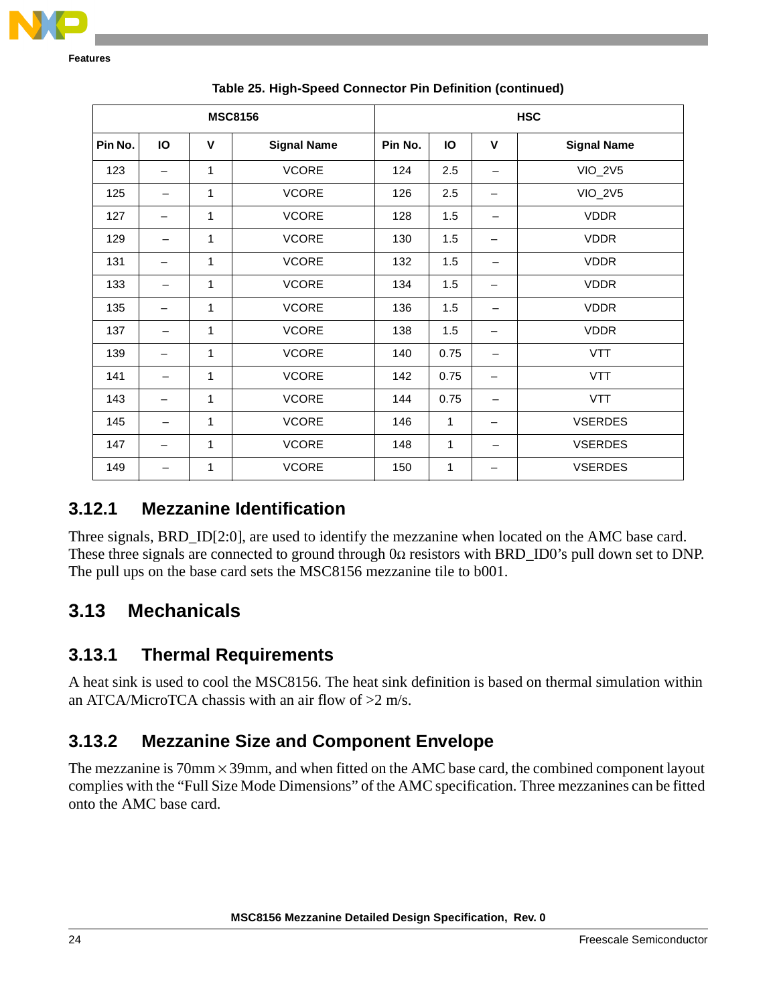

| <b>MSC8156</b> |                          |              | <b>HSC</b>         |         |              |                          |                    |
|----------------|--------------------------|--------------|--------------------|---------|--------------|--------------------------|--------------------|
| Pin No.        | IO                       | $\mathbf v$  | <b>Signal Name</b> | Pin No. | <b>IO</b>    | V                        | <b>Signal Name</b> |
| 123            | —                        | $\mathbf{1}$ | <b>VCORE</b>       | 124     | 2.5          |                          | <b>VIO_2V5</b>     |
| 125            | $\qquad \qquad$          | 1            | <b>VCORE</b>       | 126     | 2.5          | $\overline{\phantom{m}}$ | <b>VIO_2V5</b>     |
| 127            | —                        | $\mathbf{1}$ | <b>VCORE</b>       | 128     | 1.5          |                          | <b>VDDR</b>        |
| 129            | $\overline{\phantom{m}}$ | 1            | <b>VCORE</b>       | 130     | 1.5          |                          | <b>VDDR</b>        |
| 131            |                          | $\mathbf{1}$ | <b>VCORE</b>       | 132     | 1.5          |                          | <b>VDDR</b>        |
| 133            | —                        | 1            | <b>VCORE</b>       | 134     | 1.5          | $\qquad \qquad$          | <b>VDDR</b>        |
| 135            |                          | $\mathbf{1}$ | <b>VCORE</b>       | 136     | 1.5          |                          | <b>VDDR</b>        |
| 137            | —                        | 1            | <b>VCORE</b>       | 138     | 1.5          |                          | <b>VDDR</b>        |
| 139            | —                        | $\mathbf{1}$ | <b>VCORE</b>       | 140     | 0.75         |                          | <b>VTT</b>         |
| 141            | —                        | 1            | <b>VCORE</b>       | 142     | 0.75         | $\overline{\phantom{m}}$ | <b>VTT</b>         |
| 143            | $\overline{\phantom{0}}$ | 1            | <b>VCORE</b>       | 144     | 0.75         |                          | <b>VTT</b>         |
| 145            |                          | 1            | <b>VCORE</b>       | 146     | 1            | $\overline{\phantom{0}}$ | <b>VSERDES</b>     |
| 147            | —                        | 1            | <b>VCORE</b>       | 148     | $\mathbf{1}$ |                          | <b>VSERDES</b>     |
| 149            |                          | 1            | <b>VCORE</b>       | 150     | 1            |                          | <b>VSERDES</b>     |

**Table 25. High-Speed Connector Pin Definition (continued)**

## **3.12.1 Mezzanine Identification**

Three signals, BRD\_ID[2:0], are used to identify the mezzanine when located on the AMC base card. These three signals are connected to ground through  $0\Omega$  resistors with BRD\_ID0's pull down set to DNP. The pull ups on the base card sets the MSC8156 mezzanine tile to b001.

## <span id="page-23-0"></span>**3.13 Mechanicals**

## **3.13.1 Thermal Requirements**

A heat sink is used to cool the MSC8156. The heat sink definition is based on thermal simulation within an ATCA/MicroTCA chassis with an air flow of  $>2$  m/s.

## **3.13.2 Mezzanine Size and Component Envelope**

The mezzanine is  $70 \text{mm} \times 39 \text{mm}$ , and when fitted on the AMC base card, the combined component layout complies with the "Full Size Mode Dimensions" of the AMC specification. Three mezzanines can be fitted onto the AMC base card.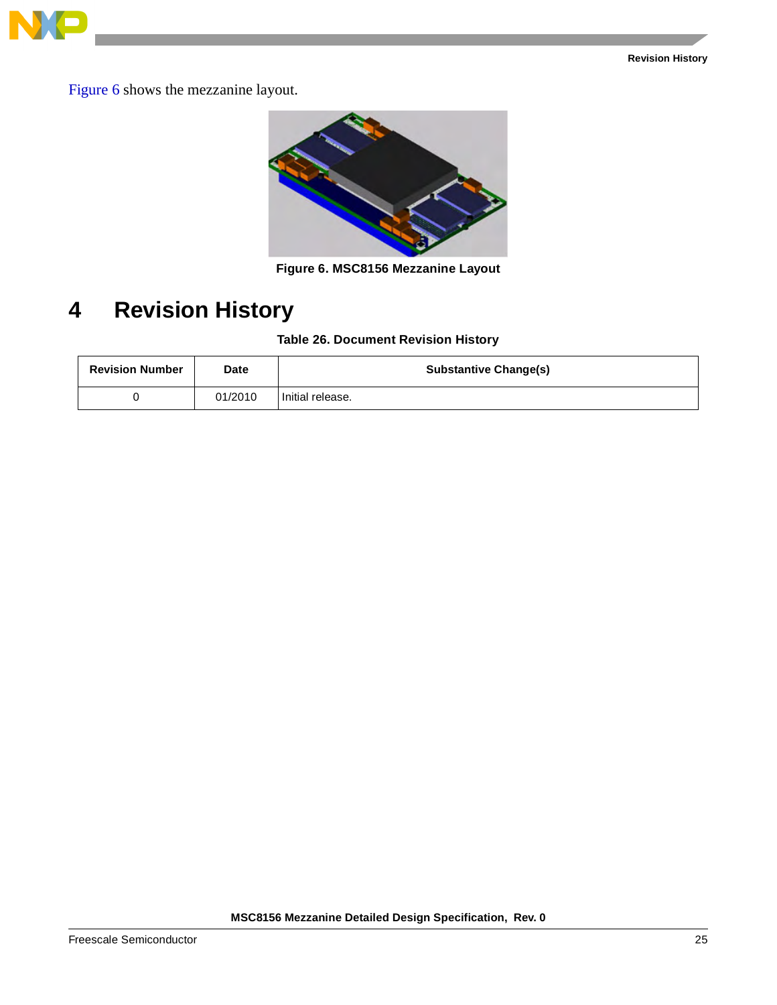

Figure 6 shows the mezzanine layout.



**Figure 6. MSC8156 Mezzanine Layout**

## <span id="page-24-0"></span>**4 Revision History**

#### **Table 26. Document Revision History**

| <b>Revision Number</b> | Date    | <b>Substantive Change(s)</b> |
|------------------------|---------|------------------------------|
|                        | 01/2010 | Initial release.             |